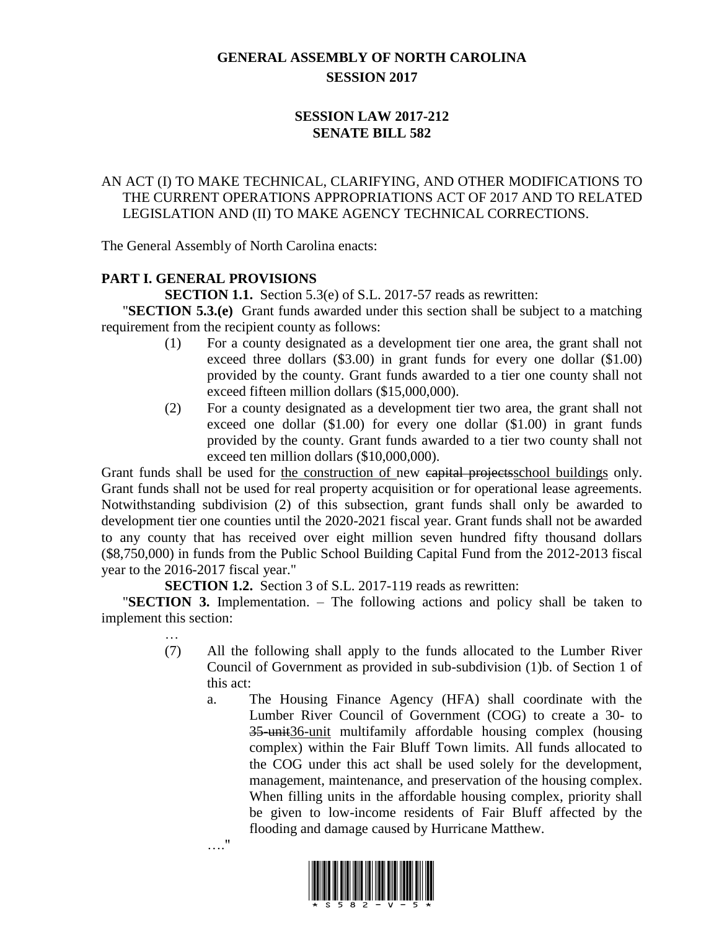# **GENERAL ASSEMBLY OF NORTH CAROLINA SESSION 2017**

### **SESSION LAW 2017-212 SENATE BILL 582**

## AN ACT (I) TO MAKE TECHNICAL, CLARIFYING, AND OTHER MODIFICATIONS TO THE CURRENT OPERATIONS APPROPRIATIONS ACT OF 2017 AND TO RELATED LEGISLATION AND (II) TO MAKE AGENCY TECHNICAL CORRECTIONS.

The General Assembly of North Carolina enacts:

### **PART I. GENERAL PROVISIONS**

**SECTION 1.1.** Section 5.3(e) of S.L. 2017-57 reads as rewritten:

"**SECTION 5.3.(e)** Grant funds awarded under this section shall be subject to a matching requirement from the recipient county as follows:

- (1) For a county designated as a development tier one area, the grant shall not exceed three dollars (\$3.00) in grant funds for every one dollar (\$1.00) provided by the county. Grant funds awarded to a tier one county shall not exceed fifteen million dollars (\$15,000,000).
- (2) For a county designated as a development tier two area, the grant shall not exceed one dollar (\$1.00) for every one dollar (\$1.00) in grant funds provided by the county. Grant funds awarded to a tier two county shall not exceed ten million dollars (\$10,000,000).

Grant funds shall be used for the construction of new eapital projects school buildings only. Grant funds shall not be used for real property acquisition or for operational lease agreements. Notwithstanding subdivision (2) of this subsection, grant funds shall only be awarded to development tier one counties until the 2020-2021 fiscal year. Grant funds shall not be awarded to any county that has received over eight million seven hundred fifty thousand dollars (\$8,750,000) in funds from the Public School Building Capital Fund from the 2012-2013 fiscal year to the 2016-2017 fiscal year."

**SECTION 1.2.** Section 3 of S.L. 2017-119 reads as rewritten:

"**SECTION 3.** Implementation. – The following actions and policy shall be taken to implement this section:

- … (7) All the following shall apply to the funds allocated to the Lumber River Council of Government as provided in sub-subdivision (1)b. of Section 1 of this act:
	- a. The Housing Finance Agency (HFA) shall coordinate with the Lumber River Council of Government (COG) to create a 30- to 35-unit<sub>36</sub>-unit multifamily affordable housing complex (housing complex) within the Fair Bluff Town limits. All funds allocated to the COG under this act shall be used solely for the development, management, maintenance, and preservation of the housing complex. When filling units in the affordable housing complex, priority shall be given to low-income residents of Fair Bluff affected by the flooding and damage caused by Hurricane Matthew.



…."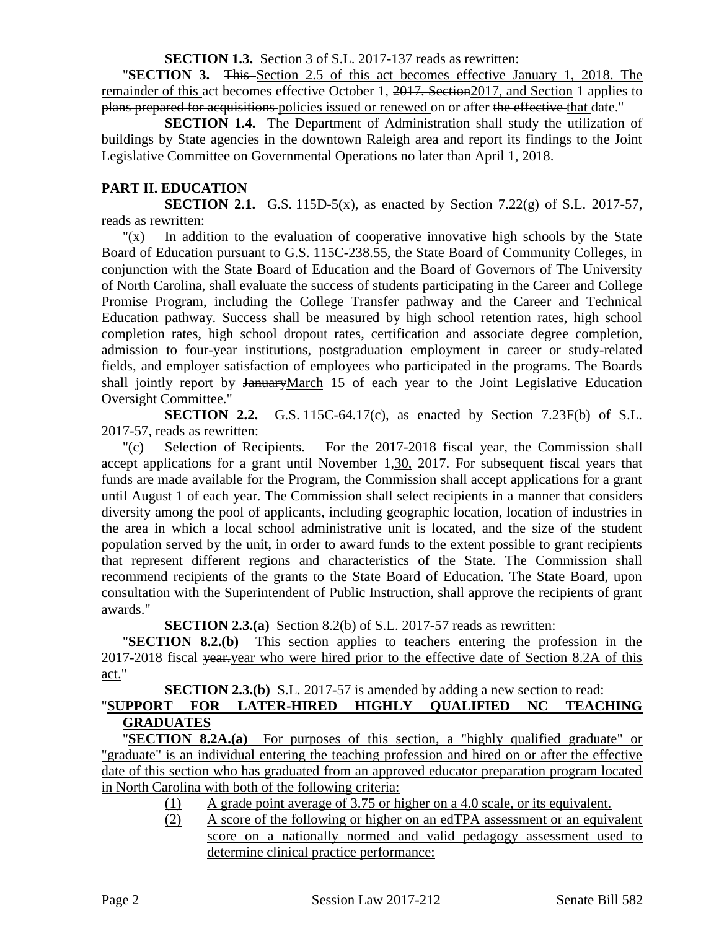**SECTION 1.3.** Section 3 of S.L. 2017-137 reads as rewritten:

"**SECTION 3.** This Section 2.5 of this act becomes effective January 1, 2018. The remainder of this act becomes effective October 1, 2017. Section 2017, and Section 1 applies to plans prepared for acquisitions policies issued or renewed on or after the effective that date."

**SECTION 1.4.** The Department of Administration shall study the utilization of buildings by State agencies in the downtown Raleigh area and report its findings to the Joint Legislative Committee on Governmental Operations no later than April 1, 2018.

## **PART II. EDUCATION**

**SECTION 2.1.** G.S. 115D-5(x), as enacted by Section 7.22(g) of S.L. 2017-57, reads as rewritten:

"(x) In addition to the evaluation of cooperative innovative high schools by the State Board of Education pursuant to G.S. 115C-238.55, the State Board of Community Colleges, in conjunction with the State Board of Education and the Board of Governors of The University of North Carolina, shall evaluate the success of students participating in the Career and College Promise Program, including the College Transfer pathway and the Career and Technical Education pathway. Success shall be measured by high school retention rates, high school completion rates, high school dropout rates, certification and associate degree completion, admission to four-year institutions, postgraduation employment in career or study-related fields, and employer satisfaction of employees who participated in the programs. The Boards shall jointly report by JanuaryMarch 15 of each year to the Joint Legislative Education Oversight Committee."

**SECTION 2.2.** G.S. 115C-64.17(c), as enacted by Section 7.23F(b) of S.L. 2017-57, reads as rewritten:

"(c) Selection of Recipients. – For the 2017-2018 fiscal year, the Commission shall accept applications for a grant until November  $4,30, 2017$ . For subsequent fiscal years that funds are made available for the Program, the Commission shall accept applications for a grant until August 1 of each year. The Commission shall select recipients in a manner that considers diversity among the pool of applicants, including geographic location, location of industries in the area in which a local school administrative unit is located, and the size of the student population served by the unit, in order to award funds to the extent possible to grant recipients that represent different regions and characteristics of the State. The Commission shall recommend recipients of the grants to the State Board of Education. The State Board, upon consultation with the Superintendent of Public Instruction, shall approve the recipients of grant awards."

**SECTION 2.3.(a)** Section 8.2(b) of S.L. 2017-57 reads as rewritten:

"**SECTION 8.2.(b)** This section applies to teachers entering the profession in the 2017-2018 fiscal year.year who were hired prior to the effective date of Section 8.2A of this act."

#### **SECTION 2.3.(b)** S.L. 2017-57 is amended by adding a new section to read: "**SUPPORT FOR LATER-HIRED HIGHLY QUALIFIED NC TEACHING**

# **GRADUATES**

"**SECTION 8.2A.(a)** For purposes of this section, a "highly qualified graduate" or "graduate" is an individual entering the teaching profession and hired on or after the effective date of this section who has graduated from an approved educator preparation program located in North Carolina with both of the following criteria:

- (1) A grade point average of 3.75 or higher on a 4.0 scale, or its equivalent.
- (2) A score of the following or higher on an edTPA assessment or an equivalent score on a nationally normed and valid pedagogy assessment used to determine clinical practice performance: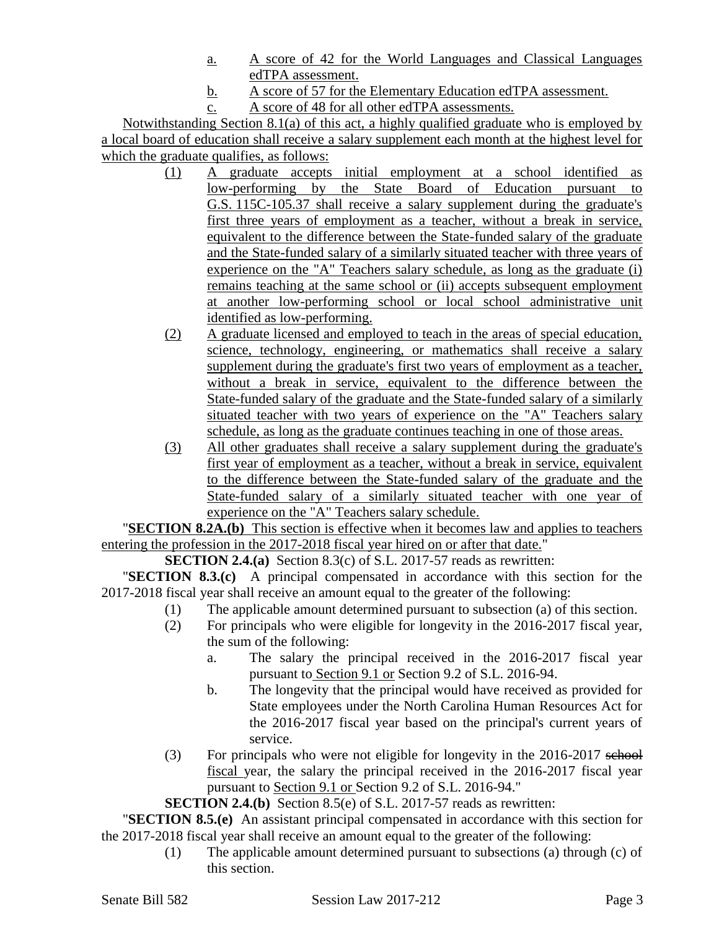- a. A score of 42 for the World Languages and Classical Languages edTPA assessment.
- b. A score of 57 for the Elementary Education edTPA assessment.
- c. A score of 48 for all other edTPA assessments.

Notwithstanding Section 8.1(a) of this act, a highly qualified graduate who is employed by a local board of education shall receive a salary supplement each month at the highest level for which the graduate qualifies, as follows:

- (1) A graduate accepts initial employment at a school identified as low-performing by the State Board of Education pursuant to G.S. 115C-105.37 shall receive a salary supplement during the graduate's first three years of employment as a teacher, without a break in service, equivalent to the difference between the State-funded salary of the graduate and the State-funded salary of a similarly situated teacher with three years of experience on the "A" Teachers salary schedule, as long as the graduate (i) remains teaching at the same school or (ii) accepts subsequent employment at another low-performing school or local school administrative unit identified as low-performing.
- (2) A graduate licensed and employed to teach in the areas of special education, science, technology, engineering, or mathematics shall receive a salary supplement during the graduate's first two years of employment as a teacher, without a break in service, equivalent to the difference between the State-funded salary of the graduate and the State-funded salary of a similarly situated teacher with two years of experience on the "A" Teachers salary schedule, as long as the graduate continues teaching in one of those areas.
- (3) All other graduates shall receive a salary supplement during the graduate's first year of employment as a teacher, without a break in service, equivalent to the difference between the State-funded salary of the graduate and the State-funded salary of a similarly situated teacher with one year of experience on the "A" Teachers salary schedule.

"**SECTION 8.2A.(b)** This section is effective when it becomes law and applies to teachers entering the profession in the 2017-2018 fiscal year hired on or after that date."

**SECTION 2.4.(a)** Section 8.3(c) of S.L. 2017-57 reads as rewritten:

"**SECTION 8.3.(c)** A principal compensated in accordance with this section for the 2017-2018 fiscal year shall receive an amount equal to the greater of the following:

- (1) The applicable amount determined pursuant to subsection (a) of this section.
- (2) For principals who were eligible for longevity in the 2016-2017 fiscal year, the sum of the following:
	- a. The salary the principal received in the 2016-2017 fiscal year pursuant to Section 9.1 or Section 9.2 of S.L. 2016-94.
	- b. The longevity that the principal would have received as provided for State employees under the North Carolina Human Resources Act for the 2016-2017 fiscal year based on the principal's current years of service.
- (3) For principals who were not eligible for longevity in the 2016-2017 school fiscal year, the salary the principal received in the 2016-2017 fiscal year pursuant to Section 9.1 or Section 9.2 of S.L. 2016-94."

**SECTION 2.4.(b)** Section 8.5(e) of S.L. 2017-57 reads as rewritten:

"**SECTION 8.5.(e)** An assistant principal compensated in accordance with this section for the 2017-2018 fiscal year shall receive an amount equal to the greater of the following:

> (1) The applicable amount determined pursuant to subsections (a) through (c) of this section.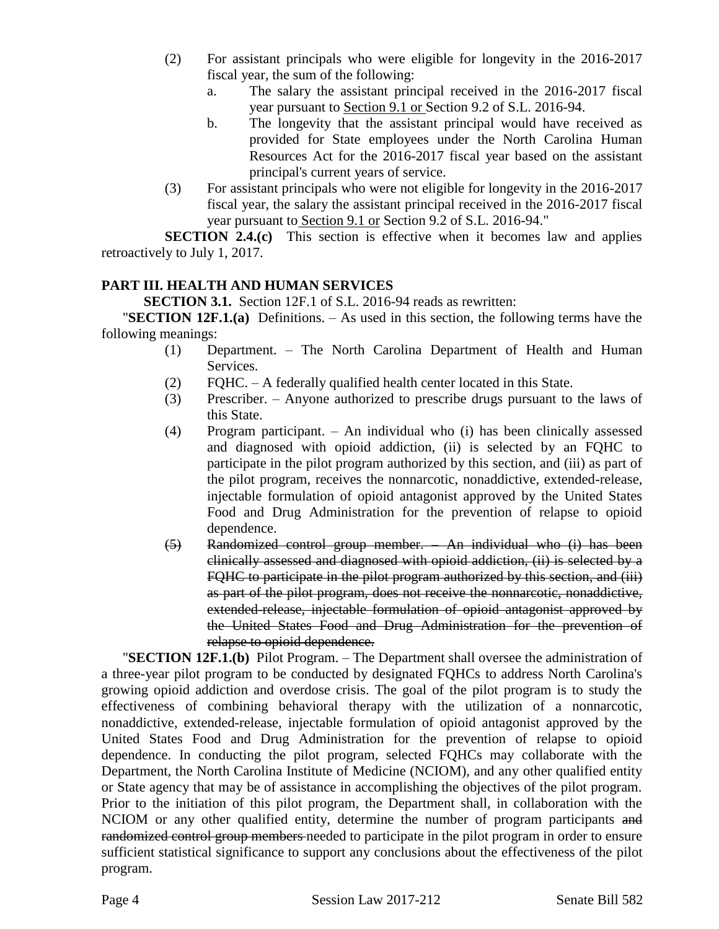- (2) For assistant principals who were eligible for longevity in the 2016-2017 fiscal year, the sum of the following:
	- a. The salary the assistant principal received in the 2016-2017 fiscal year pursuant to Section 9.1 or Section 9.2 of S.L. 2016-94.
	- b. The longevity that the assistant principal would have received as provided for State employees under the North Carolina Human Resources Act for the 2016-2017 fiscal year based on the assistant principal's current years of service.
- (3) For assistant principals who were not eligible for longevity in the 2016-2017 fiscal year, the salary the assistant principal received in the 2016-2017 fiscal year pursuant to Section 9.1 or Section 9.2 of S.L. 2016-94."

**SECTION 2.4.(c)** This section is effective when it becomes law and applies retroactively to July 1, 2017.

# **PART III. HEALTH AND HUMAN SERVICES**

**SECTION 3.1.** Section 12F.1 of S.L. 2016-94 reads as rewritten:

"**SECTION 12F.1.(a)** Definitions. – As used in this section, the following terms have the following meanings:

- (1) Department. The North Carolina Department of Health and Human Services.
- (2) FQHC. A federally qualified health center located in this State.
- (3) Prescriber. Anyone authorized to prescribe drugs pursuant to the laws of this State.
- (4) Program participant. An individual who (i) has been clinically assessed and diagnosed with opioid addiction, (ii) is selected by an FQHC to participate in the pilot program authorized by this section, and (iii) as part of the pilot program, receives the nonnarcotic, nonaddictive, extended-release, injectable formulation of opioid antagonist approved by the United States Food and Drug Administration for the prevention of relapse to opioid dependence.
- (5) Randomized control group member. An individual who (i) has been clinically assessed and diagnosed with opioid addiction, (ii) is selected by a FQHC to participate in the pilot program authorized by this section, and (iii) as part of the pilot program, does not receive the nonnarcotic, nonaddictive, extended-release, injectable formulation of opioid antagonist approved by the United States Food and Drug Administration for the prevention of relapse to opioid dependence.

"**SECTION 12F.1.(b)** Pilot Program. – The Department shall oversee the administration of a three-year pilot program to be conducted by designated FQHCs to address North Carolina's growing opioid addiction and overdose crisis. The goal of the pilot program is to study the effectiveness of combining behavioral therapy with the utilization of a nonnarcotic, nonaddictive, extended-release, injectable formulation of opioid antagonist approved by the United States Food and Drug Administration for the prevention of relapse to opioid dependence. In conducting the pilot program, selected FQHCs may collaborate with the Department, the North Carolina Institute of Medicine (NCIOM), and any other qualified entity or State agency that may be of assistance in accomplishing the objectives of the pilot program. Prior to the initiation of this pilot program, the Department shall, in collaboration with the NCIOM or any other qualified entity, determine the number of program participants and randomized control group members needed to participate in the pilot program in order to ensure sufficient statistical significance to support any conclusions about the effectiveness of the pilot program.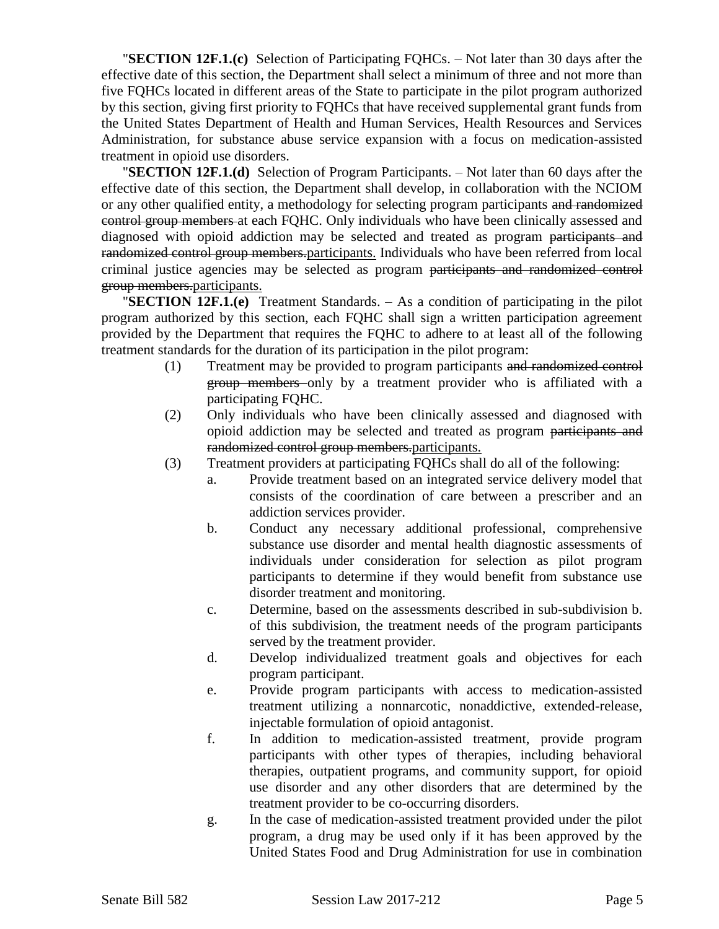"**SECTION 12F.1.(c)** Selection of Participating FQHCs. – Not later than 30 days after the effective date of this section, the Department shall select a minimum of three and not more than five FQHCs located in different areas of the State to participate in the pilot program authorized by this section, giving first priority to FQHCs that have received supplemental grant funds from the United States Department of Health and Human Services, Health Resources and Services Administration, for substance abuse service expansion with a focus on medication-assisted treatment in opioid use disorders.

"**SECTION 12F.1.(d)** Selection of Program Participants. – Not later than 60 days after the effective date of this section, the Department shall develop, in collaboration with the NCIOM or any other qualified entity, a methodology for selecting program participants and randomized control group members at each FQHC. Only individuals who have been clinically assessed and diagnosed with opioid addiction may be selected and treated as program participants and randomized control group members.participants. Individuals who have been referred from local criminal justice agencies may be selected as program participants and randomized control group members.participants.

"**SECTION 12F.1.(e)** Treatment Standards. – As a condition of participating in the pilot program authorized by this section, each FQHC shall sign a written participation agreement provided by the Department that requires the FQHC to adhere to at least all of the following treatment standards for the duration of its participation in the pilot program:

- (1) Treatment may be provided to program participants and randomized control group members only by a treatment provider who is affiliated with a participating FQHC.
- (2) Only individuals who have been clinically assessed and diagnosed with opioid addiction may be selected and treated as program participants and randomized control group members.participants.
- (3) Treatment providers at participating FQHCs shall do all of the following:
	- a. Provide treatment based on an integrated service delivery model that consists of the coordination of care between a prescriber and an addiction services provider.
	- b. Conduct any necessary additional professional, comprehensive substance use disorder and mental health diagnostic assessments of individuals under consideration for selection as pilot program participants to determine if they would benefit from substance use disorder treatment and monitoring.
	- c. Determine, based on the assessments described in sub-subdivision b. of this subdivision, the treatment needs of the program participants served by the treatment provider.
	- d. Develop individualized treatment goals and objectives for each program participant.
	- e. Provide program participants with access to medication-assisted treatment utilizing a nonnarcotic, nonaddictive, extended-release, injectable formulation of opioid antagonist.
	- f. In addition to medication-assisted treatment, provide program participants with other types of therapies, including behavioral therapies, outpatient programs, and community support, for opioid use disorder and any other disorders that are determined by the treatment provider to be co-occurring disorders.
	- g. In the case of medication-assisted treatment provided under the pilot program, a drug may be used only if it has been approved by the United States Food and Drug Administration for use in combination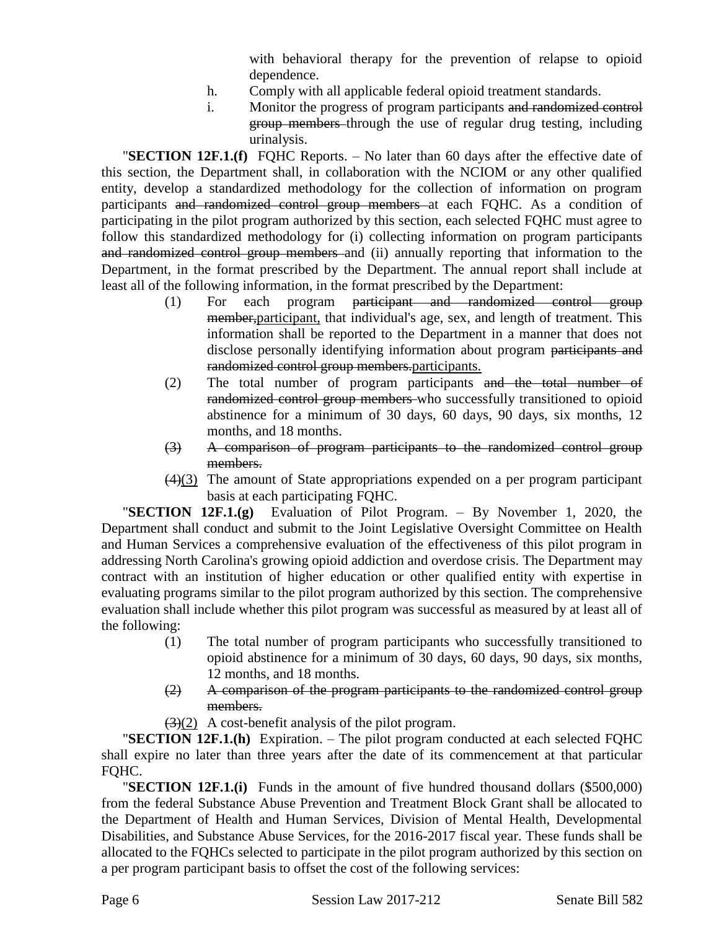with behavioral therapy for the prevention of relapse to opioid dependence.

- h. Comply with all applicable federal opioid treatment standards.
- i. Monitor the progress of program participants and randomized control group members through the use of regular drug testing, including urinalysis.

"**SECTION 12F.1.(f)** FQHC Reports. – No later than 60 days after the effective date of this section, the Department shall, in collaboration with the NCIOM or any other qualified entity, develop a standardized methodology for the collection of information on program participants and randomized control group members at each FQHC. As a condition of participating in the pilot program authorized by this section, each selected FQHC must agree to follow this standardized methodology for (i) collecting information on program participants and randomized control group members and (ii) annually reporting that information to the Department, in the format prescribed by the Department. The annual report shall include at least all of the following information, in the format prescribed by the Department:

- (1) For each program participant and randomized control group member,participant, that individual's age, sex, and length of treatment. This information shall be reported to the Department in a manner that does not disclose personally identifying information about program participants and randomized control group members.participants.
- (2) The total number of program participants and the total number of randomized control group members who successfully transitioned to opioid abstinence for a minimum of 30 days, 60 days, 90 days, six months, 12 months, and 18 months.
- (3) A comparison of program participants to the randomized control group members.
- (4)(3) The amount of State appropriations expended on a per program participant basis at each participating FQHC.

"**SECTION 12F.1.(g)** Evaluation of Pilot Program. – By November 1, 2020, the Department shall conduct and submit to the Joint Legislative Oversight Committee on Health and Human Services a comprehensive evaluation of the effectiveness of this pilot program in addressing North Carolina's growing opioid addiction and overdose crisis. The Department may contract with an institution of higher education or other qualified entity with expertise in evaluating programs similar to the pilot program authorized by this section. The comprehensive evaluation shall include whether this pilot program was successful as measured by at least all of the following:

- (1) The total number of program participants who successfully transitioned to opioid abstinence for a minimum of 30 days, 60 days, 90 days, six months, 12 months, and 18 months.
- (2) A comparison of the program participants to the randomized control group members.
- $(3)(2)$  A cost-benefit analysis of the pilot program.

"**SECTION 12F.1.(h)** Expiration. – The pilot program conducted at each selected FQHC shall expire no later than three years after the date of its commencement at that particular FQHC.

"**SECTION 12F.1.(i)** Funds in the amount of five hundred thousand dollars (\$500,000) from the federal Substance Abuse Prevention and Treatment Block Grant shall be allocated to the Department of Health and Human Services, Division of Mental Health, Developmental Disabilities, and Substance Abuse Services, for the 2016-2017 fiscal year. These funds shall be allocated to the FQHCs selected to participate in the pilot program authorized by this section on a per program participant basis to offset the cost of the following services: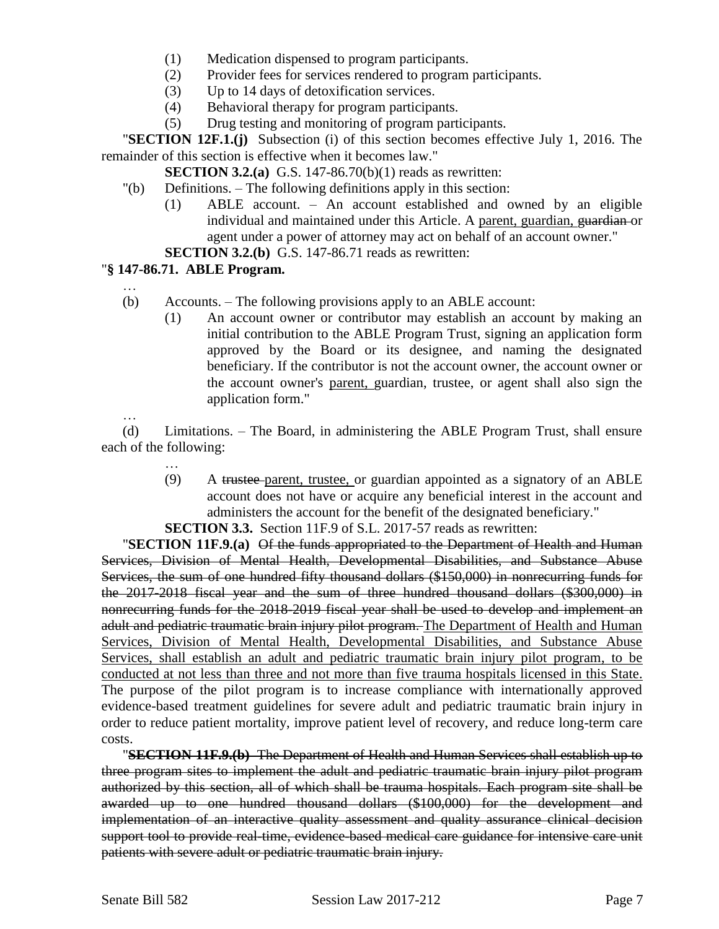- (1) Medication dispensed to program participants.
- (2) Provider fees for services rendered to program participants.
- (3) Up to 14 days of detoxification services.
- (4) Behavioral therapy for program participants.
- (5) Drug testing and monitoring of program participants.

"**SECTION 12F.1.(j)** Subsection (i) of this section becomes effective July 1, 2016. The remainder of this section is effective when it becomes law."

**SECTION 3.2.(a)** G.S. 147-86.70(b)(1) reads as rewritten:

- "(b) Definitions. The following definitions apply in this section:
	- (1) ABLE account. An account established and owned by an eligible individual and maintained under this Article. A parent, guardian, guardian or agent under a power of attorney may act on behalf of an account owner."

**SECTION 3.2.(b)** G.S. 147-86.71 reads as rewritten:

### "**§ 147-86.71. ABLE Program.**

- (b) Accounts. The following provisions apply to an ABLE account:
	- (1) An account owner or contributor may establish an account by making an initial contribution to the ABLE Program Trust, signing an application form approved by the Board or its designee, and naming the designated beneficiary. If the contributor is not the account owner, the account owner or the account owner's parent, guardian, trustee, or agent shall also sign the application form."

…

…

(d) Limitations. – The Board, in administering the ABLE Program Trust, shall ensure each of the following:

> … (9) A trustee parent, trustee, or guardian appointed as a signatory of an ABLE account does not have or acquire any beneficial interest in the account and administers the account for the benefit of the designated beneficiary."

**SECTION 3.3.** Section 11F.9 of S.L. 2017-57 reads as rewritten:

"**SECTION 11F.9.(a)** Of the funds appropriated to the Department of Health and Human Services, Division of Mental Health, Developmental Disabilities, and Substance Abuse Services, the sum of one hundred fifty thousand dollars (\$150,000) in nonrecurring funds for the 2017-2018 fiscal year and the sum of three hundred thousand dollars (\$300,000) in nonrecurring funds for the 2018-2019 fiscal year shall be used to develop and implement an adult and pediatric traumatic brain injury pilot program. The Department of Health and Human Services, Division of Mental Health, Developmental Disabilities, and Substance Abuse Services, shall establish an adult and pediatric traumatic brain injury pilot program, to be conducted at not less than three and not more than five trauma hospitals licensed in this State. The purpose of the pilot program is to increase compliance with internationally approved evidence-based treatment guidelines for severe adult and pediatric traumatic brain injury in order to reduce patient mortality, improve patient level of recovery, and reduce long-term care costs.

"**SECTION 11F.9.(b)** The Department of Health and Human Services shall establish up to three program sites to implement the adult and pediatric traumatic brain injury pilot program authorized by this section, all of which shall be trauma hospitals. Each program site shall be awarded up to one hundred thousand dollars (\$100,000) for the development and implementation of an interactive quality assessment and quality assurance clinical decision support tool to provide real-time, evidence-based medical care guidance for intensive care unit patients with severe adult or pediatric traumatic brain injury.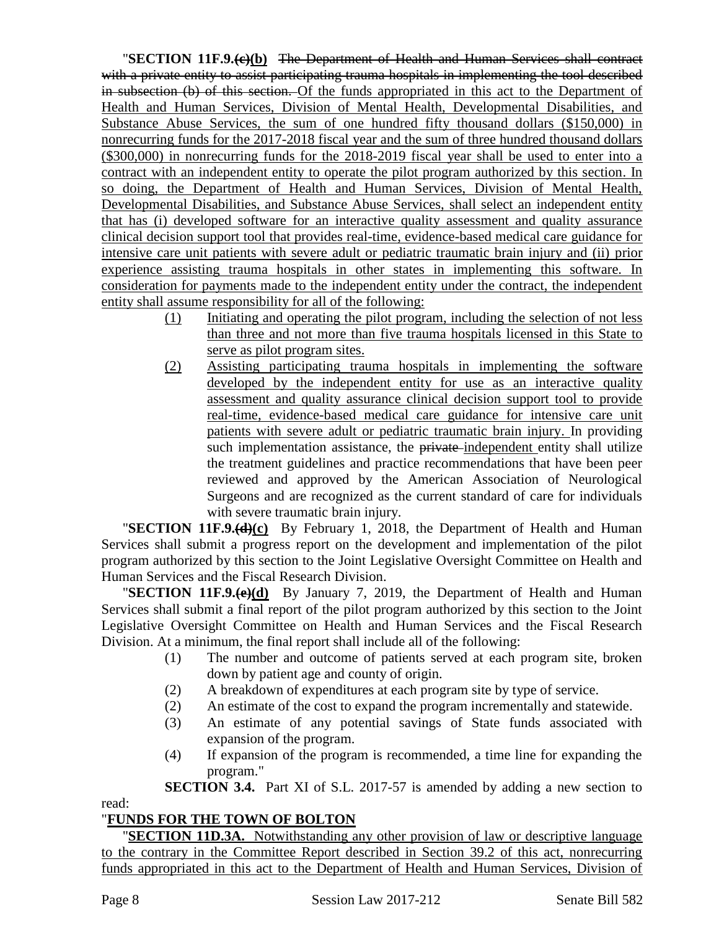"**SECTION 11F.9.(c)(b)** The Department of Health and Human Services shall contract with a private entity to assist participating trauma hospitals in implementing the tool described in subsection (b) of this section. Of the funds appropriated in this act to the Department of Health and Human Services, Division of Mental Health, Developmental Disabilities, and Substance Abuse Services, the sum of one hundred fifty thousand dollars (\$150,000) in nonrecurring funds for the 2017-2018 fiscal year and the sum of three hundred thousand dollars (\$300,000) in nonrecurring funds for the 2018-2019 fiscal year shall be used to enter into a contract with an independent entity to operate the pilot program authorized by this section. In so doing, the Department of Health and Human Services, Division of Mental Health, Developmental Disabilities, and Substance Abuse Services, shall select an independent entity that has (i) developed software for an interactive quality assessment and quality assurance clinical decision support tool that provides real-time, evidence-based medical care guidance for intensive care unit patients with severe adult or pediatric traumatic brain injury and (ii) prior experience assisting trauma hospitals in other states in implementing this software. In consideration for payments made to the independent entity under the contract, the independent entity shall assume responsibility for all of the following:

- (1) Initiating and operating the pilot program, including the selection of not less than three and not more than five trauma hospitals licensed in this State to serve as pilot program sites.
- (2) Assisting participating trauma hospitals in implementing the software developed by the independent entity for use as an interactive quality assessment and quality assurance clinical decision support tool to provide real-time, evidence-based medical care guidance for intensive care unit patients with severe adult or pediatric traumatic brain injury. In providing such implementation assistance, the private-independent entity shall utilize the treatment guidelines and practice recommendations that have been peer reviewed and approved by the American Association of Neurological Surgeons and are recognized as the current standard of care for individuals with severe traumatic brain injury.

"**SECTION 11F.9.(d)(c)** By February 1, 2018, the Department of Health and Human Services shall submit a progress report on the development and implementation of the pilot program authorized by this section to the Joint Legislative Oversight Committee on Health and Human Services and the Fiscal Research Division.

"**SECTION 11F.9.(e)(d)** By January 7, 2019, the Department of Health and Human Services shall submit a final report of the pilot program authorized by this section to the Joint Legislative Oversight Committee on Health and Human Services and the Fiscal Research Division. At a minimum, the final report shall include all of the following:

- (1) The number and outcome of patients served at each program site, broken down by patient age and county of origin.
- (2) A breakdown of expenditures at each program site by type of service.
- (2) An estimate of the cost to expand the program incrementally and statewide.
- (3) An estimate of any potential savings of State funds associated with expansion of the program.
- (4) If expansion of the program is recommended, a time line for expanding the program."

**SECTION 3.4.** Part XI of S.L. 2017-57 is amended by adding a new section to

# "**FUNDS FOR THE TOWN OF BOLTON**

"**SECTION 11D.3A.** Notwithstanding any other provision of law or descriptive language to the contrary in the Committee Report described in Section 39.2 of this act, nonrecurring funds appropriated in this act to the Department of Health and Human Services, Division of

read: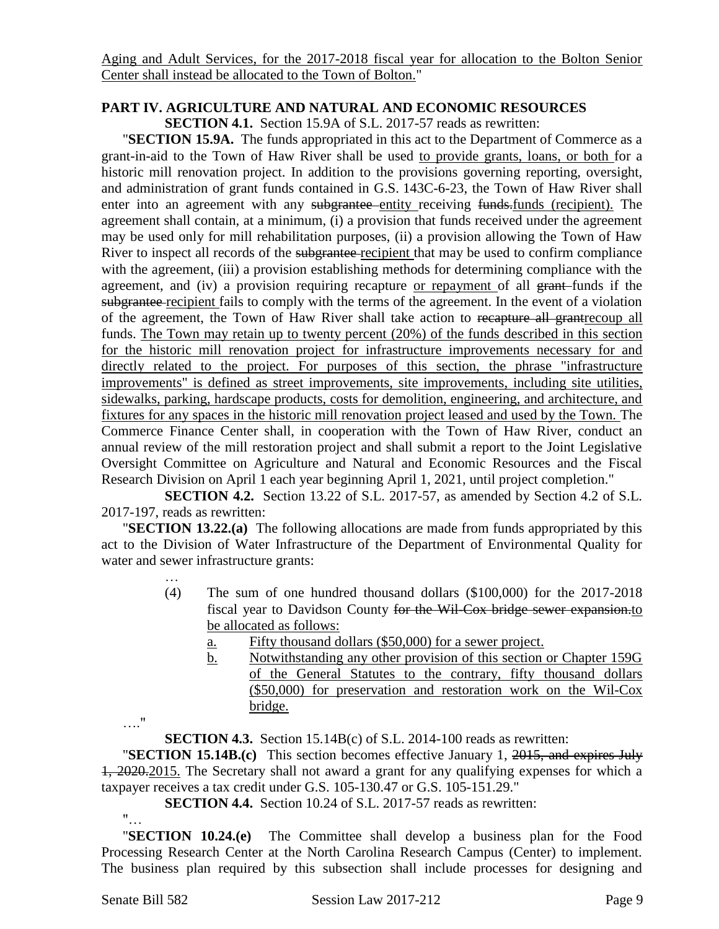Aging and Adult Services, for the 2017-2018 fiscal year for allocation to the Bolton Senior Center shall instead be allocated to the Town of Bolton."

#### **PART IV. AGRICULTURE AND NATURAL AND ECONOMIC RESOURCES**

**SECTION 4.1.** Section 15.9A of S.L. 2017-57 reads as rewritten:

"**SECTION 15.9A.** The funds appropriated in this act to the Department of Commerce as a grant-in-aid to the Town of Haw River shall be used to provide grants, loans, or both for a historic mill renovation project. In addition to the provisions governing reporting, oversight, and administration of grant funds contained in G.S. 143C-6-23, the Town of Haw River shall enter into an agreement with any subgrantee entity receiving funds. funds (recipient). The agreement shall contain, at a minimum, (i) a provision that funds received under the agreement may be used only for mill rehabilitation purposes, (ii) a provision allowing the Town of Haw River to inspect all records of the subgrantee-recipient that may be used to confirm compliance with the agreement, (iii) a provision establishing methods for determining compliance with the agreement, and (iv) a provision requiring recapture or repayment of all grant-funds if the subgrantee recipient fails to comply with the terms of the agreement. In the event of a violation of the agreement, the Town of Haw River shall take action to recapture all grantrecoup all funds. The Town may retain up to twenty percent (20%) of the funds described in this section for the historic mill renovation project for infrastructure improvements necessary for and directly related to the project. For purposes of this section, the phrase "infrastructure improvements" is defined as street improvements, site improvements, including site utilities, sidewalks, parking, hardscape products, costs for demolition, engineering, and architecture, and fixtures for any spaces in the historic mill renovation project leased and used by the Town. The Commerce Finance Center shall, in cooperation with the Town of Haw River, conduct an annual review of the mill restoration project and shall submit a report to the Joint Legislative Oversight Committee on Agriculture and Natural and Economic Resources and the Fiscal Research Division on April 1 each year beginning April 1, 2021, until project completion."

**SECTION 4.2.** Section 13.22 of S.L. 2017-57, as amended by Section 4.2 of S.L. 2017-197, reads as rewritten:

"**SECTION 13.22.(a)** The following allocations are made from funds appropriated by this act to the Division of Water Infrastructure of the Department of Environmental Quality for water and sewer infrastructure grants:

- (4) The sum of one hundred thousand dollars (\$100,000) for the 2017-2018 fiscal year to Davidson County for the Wil-Cox bridge sewer expansion.to be allocated as follows:
	- a. Fifty thousand dollars (\$50,000) for a sewer project.
	- b. Notwithstanding any other provision of this section or Chapter 159G of the General Statutes to the contrary, fifty thousand dollars (\$50,000) for preservation and restoration work on the Wil-Cox bridge.

…."

…

**SECTION 4.3.** Section 15.14B(c) of S.L. 2014-100 reads as rewritten:

"**SECTION 15.14B.(c)** This section becomes effective January 1, 2015, and expires July 1, 2020.2015. The Secretary shall not award a grant for any qualifying expenses for which a taxpayer receives a tax credit under G.S. 105-130.47 or G.S. 105-151.29."

**SECTION 4.4.** Section 10.24 of S.L. 2017-57 reads as rewritten:

"…

"**SECTION 10.24.(e)** The Committee shall develop a business plan for the Food Processing Research Center at the North Carolina Research Campus (Center) to implement. The business plan required by this subsection shall include processes for designing and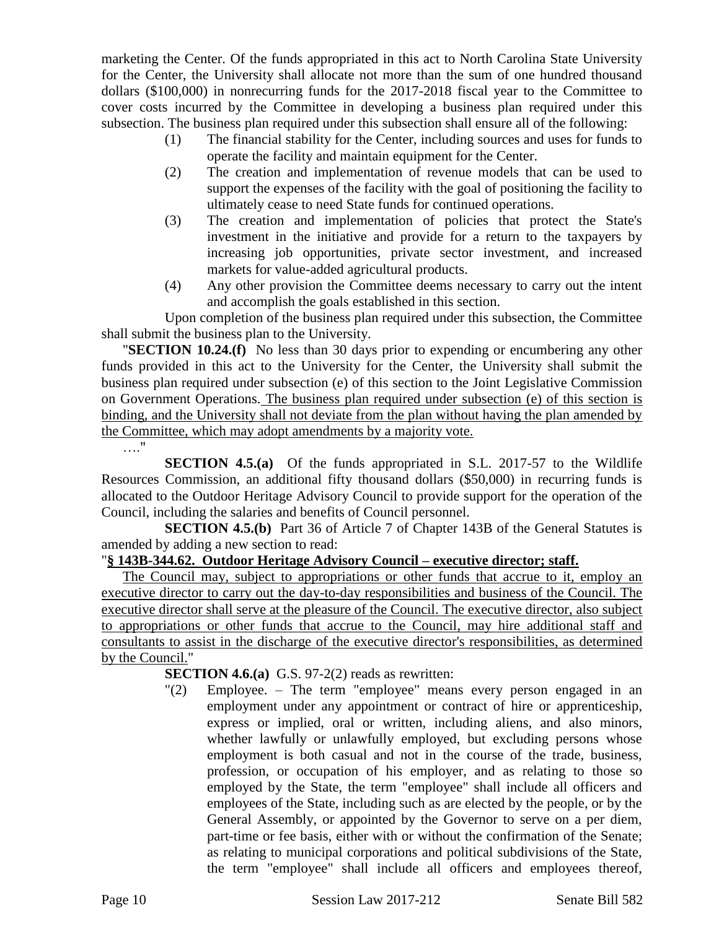marketing the Center. Of the funds appropriated in this act to North Carolina State University for the Center, the University shall allocate not more than the sum of one hundred thousand dollars (\$100,000) in nonrecurring funds for the 2017-2018 fiscal year to the Committee to cover costs incurred by the Committee in developing a business plan required under this subsection. The business plan required under this subsection shall ensure all of the following:

- (1) The financial stability for the Center, including sources and uses for funds to operate the facility and maintain equipment for the Center.
- (2) The creation and implementation of revenue models that can be used to support the expenses of the facility with the goal of positioning the facility to ultimately cease to need State funds for continued operations.
- (3) The creation and implementation of policies that protect the State's investment in the initiative and provide for a return to the taxpayers by increasing job opportunities, private sector investment, and increased markets for value-added agricultural products.
- (4) Any other provision the Committee deems necessary to carry out the intent and accomplish the goals established in this section.

Upon completion of the business plan required under this subsection, the Committee shall submit the business plan to the University.

"**SECTION 10.24.(f)** No less than 30 days prior to expending or encumbering any other funds provided in this act to the University for the Center, the University shall submit the business plan required under subsection (e) of this section to the Joint Legislative Commission on Government Operations. The business plan required under subsection (e) of this section is binding, and the University shall not deviate from the plan without having the plan amended by the Committee, which may adopt amendments by a majority vote.

…."

**SECTION 4.5.(a)** Of the funds appropriated in S.L. 2017-57 to the Wildlife Resources Commission, an additional fifty thousand dollars (\$50,000) in recurring funds is allocated to the Outdoor Heritage Advisory Council to provide support for the operation of the Council, including the salaries and benefits of Council personnel.

**SECTION 4.5.(b)** Part 36 of Article 7 of Chapter 143B of the General Statutes is amended by adding a new section to read:

## "**§ 143B-344.62. Outdoor Heritage Advisory Council – executive director; staff.**

The Council may, subject to appropriations or other funds that accrue to it, employ an executive director to carry out the day-to-day responsibilities and business of the Council. The executive director shall serve at the pleasure of the Council. The executive director, also subject to appropriations or other funds that accrue to the Council, may hire additional staff and consultants to assist in the discharge of the executive director's responsibilities, as determined by the Council."

**SECTION 4.6.(a)** G.S. 97-2(2) reads as rewritten:

"(2) Employee. – The term "employee" means every person engaged in an employment under any appointment or contract of hire or apprenticeship, express or implied, oral or written, including aliens, and also minors, whether lawfully or unlawfully employed, but excluding persons whose employment is both casual and not in the course of the trade, business, profession, or occupation of his employer, and as relating to those so employed by the State, the term "employee" shall include all officers and employees of the State, including such as are elected by the people, or by the General Assembly, or appointed by the Governor to serve on a per diem, part-time or fee basis, either with or without the confirmation of the Senate; as relating to municipal corporations and political subdivisions of the State, the term "employee" shall include all officers and employees thereof,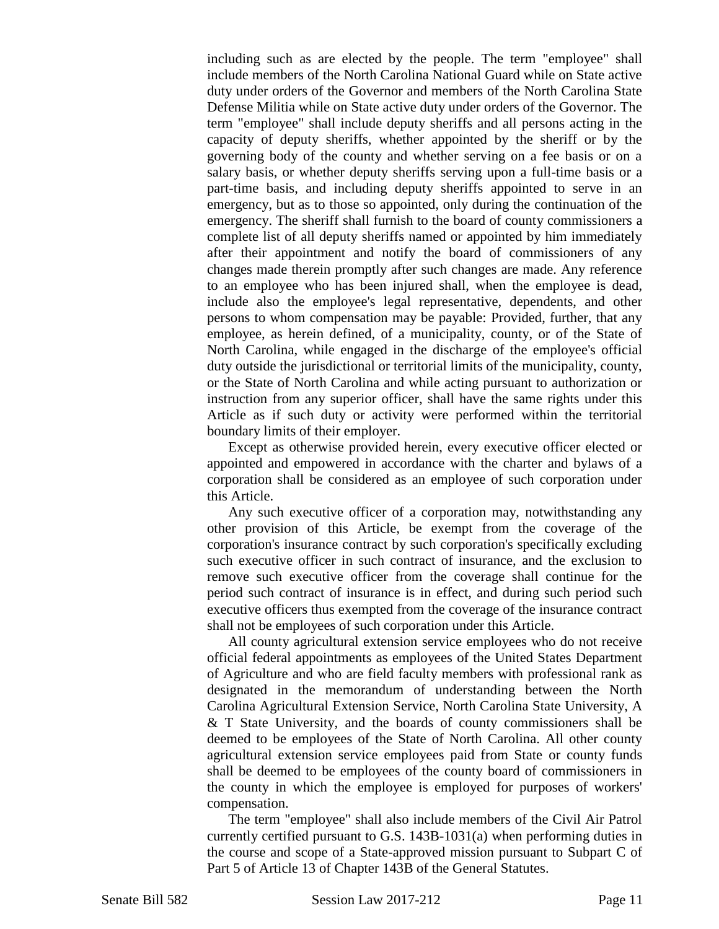including such as are elected by the people. The term "employee" shall include members of the North Carolina National Guard while on State active duty under orders of the Governor and members of the North Carolina State Defense Militia while on State active duty under orders of the Governor. The term "employee" shall include deputy sheriffs and all persons acting in the capacity of deputy sheriffs, whether appointed by the sheriff or by the governing body of the county and whether serving on a fee basis or on a salary basis, or whether deputy sheriffs serving upon a full-time basis or a part-time basis, and including deputy sheriffs appointed to serve in an emergency, but as to those so appointed, only during the continuation of the emergency. The sheriff shall furnish to the board of county commissioners a complete list of all deputy sheriffs named or appointed by him immediately after their appointment and notify the board of commissioners of any changes made therein promptly after such changes are made. Any reference to an employee who has been injured shall, when the employee is dead, include also the employee's legal representative, dependents, and other persons to whom compensation may be payable: Provided, further, that any employee, as herein defined, of a municipality, county, or of the State of North Carolina, while engaged in the discharge of the employee's official duty outside the jurisdictional or territorial limits of the municipality, county, or the State of North Carolina and while acting pursuant to authorization or instruction from any superior officer, shall have the same rights under this Article as if such duty or activity were performed within the territorial boundary limits of their employer.

Except as otherwise provided herein, every executive officer elected or appointed and empowered in accordance with the charter and bylaws of a corporation shall be considered as an employee of such corporation under this Article.

Any such executive officer of a corporation may, notwithstanding any other provision of this Article, be exempt from the coverage of the corporation's insurance contract by such corporation's specifically excluding such executive officer in such contract of insurance, and the exclusion to remove such executive officer from the coverage shall continue for the period such contract of insurance is in effect, and during such period such executive officers thus exempted from the coverage of the insurance contract shall not be employees of such corporation under this Article.

All county agricultural extension service employees who do not receive official federal appointments as employees of the United States Department of Agriculture and who are field faculty members with professional rank as designated in the memorandum of understanding between the North Carolina Agricultural Extension Service, North Carolina State University, A & T State University, and the boards of county commissioners shall be deemed to be employees of the State of North Carolina. All other county agricultural extension service employees paid from State or county funds shall be deemed to be employees of the county board of commissioners in the county in which the employee is employed for purposes of workers' compensation.

The term "employee" shall also include members of the Civil Air Patrol currently certified pursuant to G.S. 143B-1031(a) when performing duties in the course and scope of a State-approved mission pursuant to Subpart C of Part 5 of Article 13 of Chapter 143B of the General Statutes.

Senate Bill 582 Session Law 2017-212 Page 11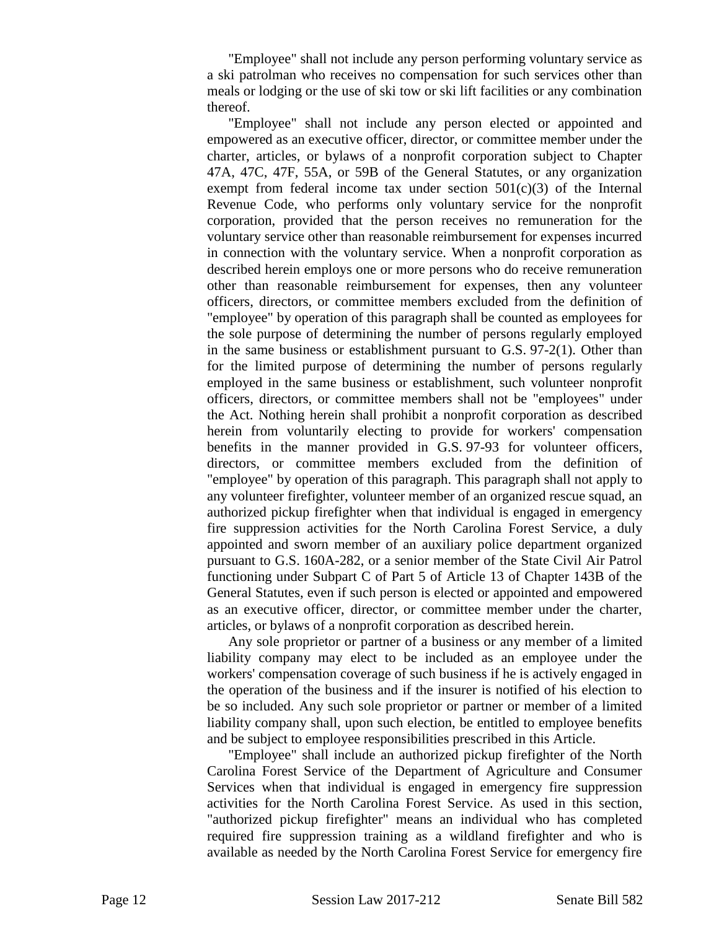"Employee" shall not include any person performing voluntary service as a ski patrolman who receives no compensation for such services other than meals or lodging or the use of ski tow or ski lift facilities or any combination thereof.

"Employee" shall not include any person elected or appointed and empowered as an executive officer, director, or committee member under the charter, articles, or bylaws of a nonprofit corporation subject to Chapter 47A, 47C, 47F, 55A, or 59B of the General Statutes, or any organization exempt from federal income tax under section  $501(c)(3)$  of the Internal Revenue Code, who performs only voluntary service for the nonprofit corporation, provided that the person receives no remuneration for the voluntary service other than reasonable reimbursement for expenses incurred in connection with the voluntary service. When a nonprofit corporation as described herein employs one or more persons who do receive remuneration other than reasonable reimbursement for expenses, then any volunteer officers, directors, or committee members excluded from the definition of "employee" by operation of this paragraph shall be counted as employees for the sole purpose of determining the number of persons regularly employed in the same business or establishment pursuant to G.S. 97-2(1). Other than for the limited purpose of determining the number of persons regularly employed in the same business or establishment, such volunteer nonprofit officers, directors, or committee members shall not be "employees" under the Act. Nothing herein shall prohibit a nonprofit corporation as described herein from voluntarily electing to provide for workers' compensation benefits in the manner provided in G.S. 97-93 for volunteer officers, directors, or committee members excluded from the definition of "employee" by operation of this paragraph. This paragraph shall not apply to any volunteer firefighter, volunteer member of an organized rescue squad, an authorized pickup firefighter when that individual is engaged in emergency fire suppression activities for the North Carolina Forest Service, a duly appointed and sworn member of an auxiliary police department organized pursuant to G.S. 160A-282, or a senior member of the State Civil Air Patrol functioning under Subpart C of Part 5 of Article 13 of Chapter 143B of the General Statutes, even if such person is elected or appointed and empowered as an executive officer, director, or committee member under the charter, articles, or bylaws of a nonprofit corporation as described herein.

Any sole proprietor or partner of a business or any member of a limited liability company may elect to be included as an employee under the workers' compensation coverage of such business if he is actively engaged in the operation of the business and if the insurer is notified of his election to be so included. Any such sole proprietor or partner or member of a limited liability company shall, upon such election, be entitled to employee benefits and be subject to employee responsibilities prescribed in this Article.

"Employee" shall include an authorized pickup firefighter of the North Carolina Forest Service of the Department of Agriculture and Consumer Services when that individual is engaged in emergency fire suppression activities for the North Carolina Forest Service. As used in this section, "authorized pickup firefighter" means an individual who has completed required fire suppression training as a wildland firefighter and who is available as needed by the North Carolina Forest Service for emergency fire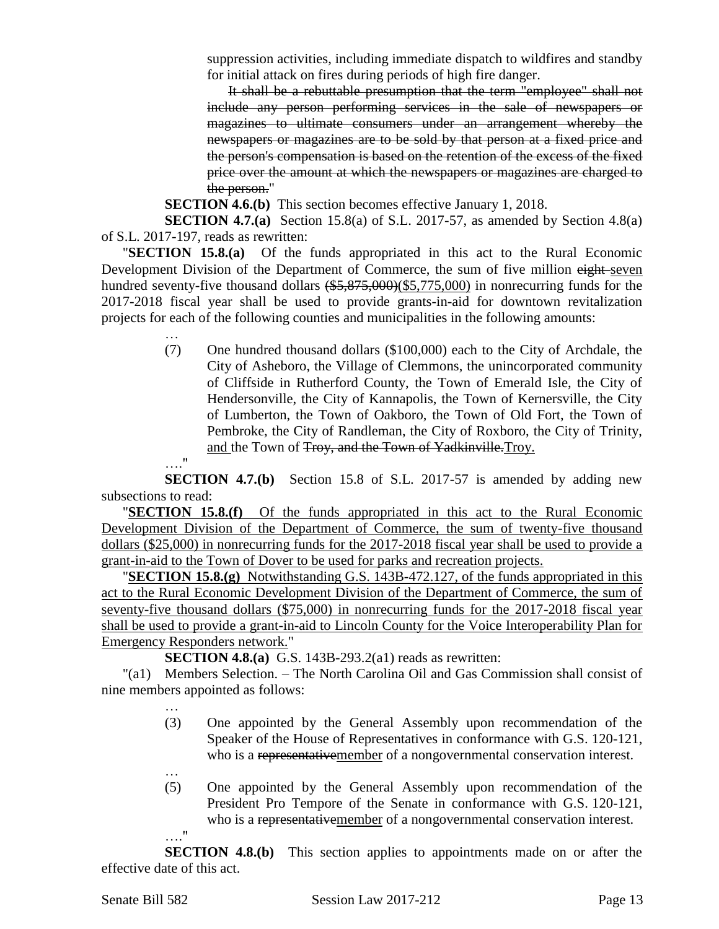suppression activities, including immediate dispatch to wildfires and standby for initial attack on fires during periods of high fire danger.

It shall be a rebuttable presumption that the term "employee" shall not include any person performing services in the sale of newspapers or magazines to ultimate consumers under an arrangement whereby the newspapers or magazines are to be sold by that person at a fixed price and the person's compensation is based on the retention of the excess of the fixed price over the amount at which the newspapers or magazines are charged to the person."

**SECTION 4.6.(b)** This section becomes effective January 1, 2018.

**SECTION 4.7.(a)** Section 15.8(a) of S.L. 2017-57, as amended by Section 4.8(a) of S.L. 2017-197, reads as rewritten:

"**SECTION 15.8.(a)** Of the funds appropriated in this act to the Rural Economic Development Division of the Department of Commerce, the sum of five million eight-seven hundred seventy-five thousand dollars  $(*5,875,000)(\$5,775,000)$  in nonrecurring funds for the 2017-2018 fiscal year shall be used to provide grants-in-aid for downtown revitalization projects for each of the following counties and municipalities in the following amounts:

- (7) One hundred thousand dollars (\$100,000) each to the City of Archdale, the City of Asheboro, the Village of Clemmons, the unincorporated community of Cliffside in Rutherford County, the Town of Emerald Isle, the City of Hendersonville, the City of Kannapolis, the Town of Kernersville, the City of Lumberton, the Town of Oakboro, the Town of Old Fort, the Town of Pembroke, the City of Randleman, the City of Roxboro, the City of Trinity, and the Town of Troy, and the Town of Yadkinville.Troy.
- …."

…

**SECTION 4.7.(b)** Section 15.8 of S.L. 2017-57 is amended by adding new subsections to read:

"**SECTION 15.8.(f)** Of the funds appropriated in this act to the Rural Economic Development Division of the Department of Commerce, the sum of twenty-five thousand dollars (\$25,000) in nonrecurring funds for the 2017-2018 fiscal year shall be used to provide a grant-in-aid to the Town of Dover to be used for parks and recreation projects.

"**SECTION 15.8.(g)** Notwithstanding G.S. 143B-472.127, of the funds appropriated in this act to the Rural Economic Development Division of the Department of Commerce, the sum of seventy-five thousand dollars (\$75,000) in nonrecurring funds for the 2017-2018 fiscal year shall be used to provide a grant-in-aid to Lincoln County for the Voice Interoperability Plan for Emergency Responders network."

**SECTION 4.8.(a)** G.S. 143B-293.2(a1) reads as rewritten:

"(a1) Members Selection. – The North Carolina Oil and Gas Commission shall consist of nine members appointed as follows:

- (3) One appointed by the General Assembly upon recommendation of the Speaker of the House of Representatives in conformance with G.S. 120-121, who is a representativemember of a nongovernmental conservation interest.
- … (5) One appointed by the General Assembly upon recommendation of the President Pro Tempore of the Senate in conformance with G.S. 120-121, who is a representativemember of a nongovernmental conservation interest. …."

**SECTION 4.8.(b)** This section applies to appointments made on or after the effective date of this act.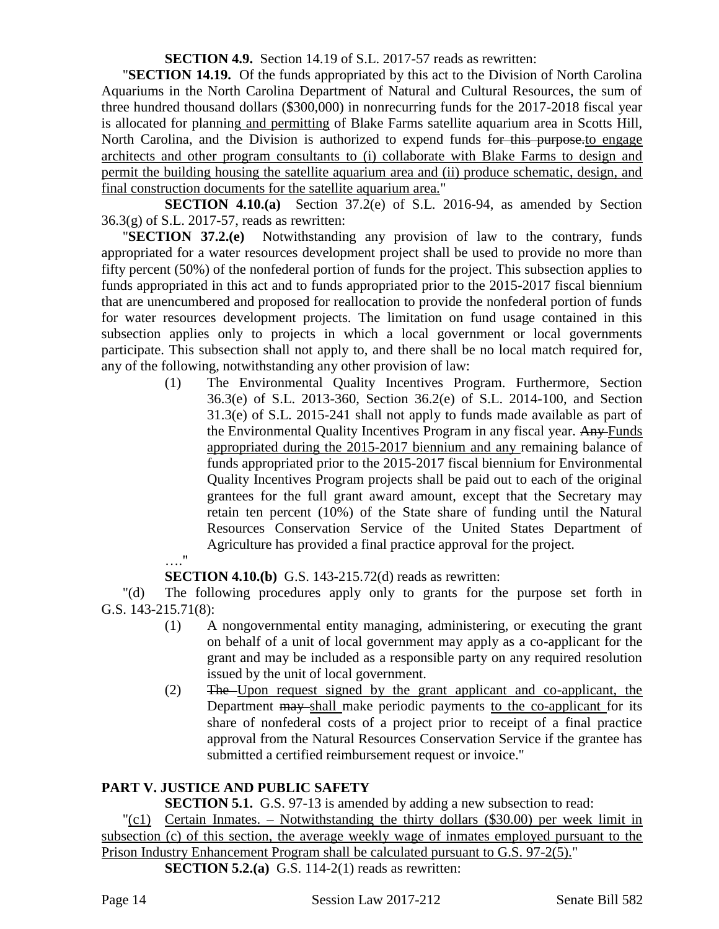**SECTION 4.9.** Section 14.19 of S.L. 2017-57 reads as rewritten:

"**SECTION 14.19.** Of the funds appropriated by this act to the Division of North Carolina Aquariums in the North Carolina Department of Natural and Cultural Resources, the sum of three hundred thousand dollars (\$300,000) in nonrecurring funds for the 2017-2018 fiscal year is allocated for planning and permitting of Blake Farms satellite aquarium area in Scotts Hill, North Carolina, and the Division is authorized to expend funds for this purpose.to engage architects and other program consultants to (i) collaborate with Blake Farms to design and permit the building housing the satellite aquarium area and (ii) produce schematic, design, and final construction documents for the satellite aquarium area."

**SECTION 4.10.(a)** Section 37.2(e) of S.L. 2016-94, as amended by Section 36.3(g) of S.L. 2017-57, reads as rewritten:

"**SECTION 37.2.(e)** Notwithstanding any provision of law to the contrary, funds appropriated for a water resources development project shall be used to provide no more than fifty percent (50%) of the nonfederal portion of funds for the project. This subsection applies to funds appropriated in this act and to funds appropriated prior to the 2015-2017 fiscal biennium that are unencumbered and proposed for reallocation to provide the nonfederal portion of funds for water resources development projects. The limitation on fund usage contained in this subsection applies only to projects in which a local government or local governments participate. This subsection shall not apply to, and there shall be no local match required for, any of the following, notwithstanding any other provision of law:

- (1) The Environmental Quality Incentives Program. Furthermore, Section 36.3(e) of S.L. 2013-360, Section 36.2(e) of S.L. 2014-100, and Section 31.3(e) of S.L. 2015-241 shall not apply to funds made available as part of the Environmental Quality Incentives Program in any fiscal year. Any Funds appropriated during the 2015-2017 biennium and any remaining balance of funds appropriated prior to the 2015-2017 fiscal biennium for Environmental Quality Incentives Program projects shall be paid out to each of the original grantees for the full grant award amount, except that the Secretary may retain ten percent (10%) of the State share of funding until the Natural Resources Conservation Service of the United States Department of Agriculture has provided a final practice approval for the project.
- …"

**SECTION 4.10.(b)** G.S. 143-215.72(d) reads as rewritten:

"(d) The following procedures apply only to grants for the purpose set forth in G.S. 143-215.71(8):

- (1) A nongovernmental entity managing, administering, or executing the grant on behalf of a unit of local government may apply as a co-applicant for the grant and may be included as a responsible party on any required resolution issued by the unit of local government.
- (2) The Upon request signed by the grant applicant and co-applicant, the Department may shall make periodic payments to the co-applicant for its share of nonfederal costs of a project prior to receipt of a final practice approval from the Natural Resources Conservation Service if the grantee has submitted a certified reimbursement request or invoice."

# **PART V. JUSTICE AND PUBLIC SAFETY**

**SECTION 5.1.** G.S. 97-13 is amended by adding a new subsection to read:

 $\lceil (c_1) \rceil$  Certain Inmates. – Notwithstanding the thirty dollars (\$30.00) per week limit in subsection (c) of this section, the average weekly wage of inmates employed pursuant to the Prison Industry Enhancement Program shall be calculated pursuant to G.S. 97-2(5)." **SECTION 5.2.(a)** G.S. 114-2(1) reads as rewritten: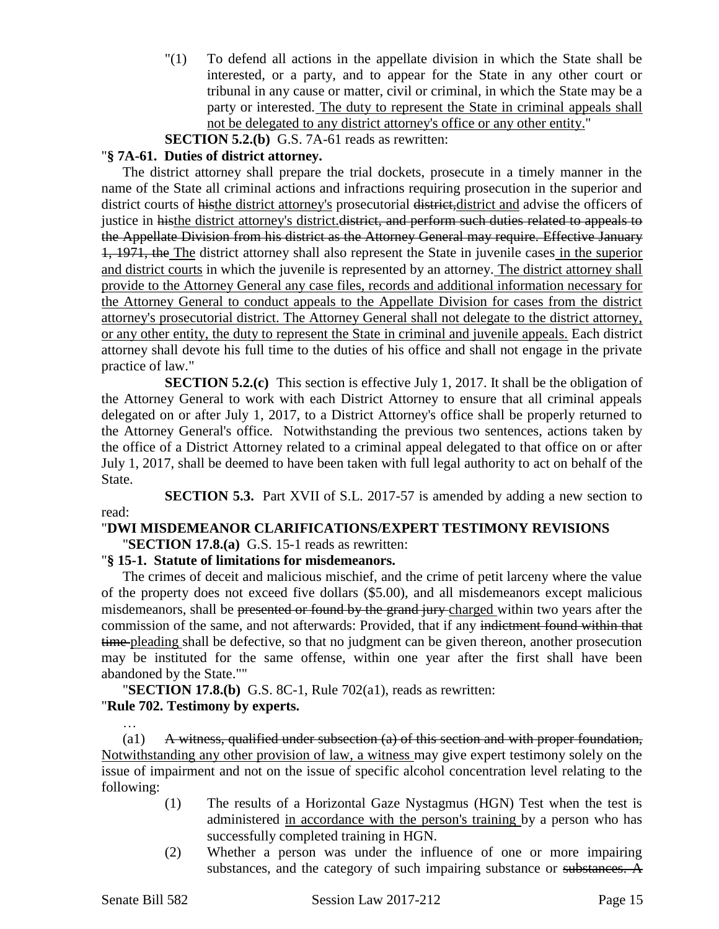"(1) To defend all actions in the appellate division in which the State shall be interested, or a party, and to appear for the State in any other court or tribunal in any cause or matter, civil or criminal, in which the State may be a party or interested. The duty to represent the State in criminal appeals shall not be delegated to any district attorney's office or any other entity."

**SECTION 5.2.(b)** G.S. 7A-61 reads as rewritten:

## "**§ 7A-61. Duties of district attorney.**

The district attorney shall prepare the trial dockets, prosecute in a timely manner in the name of the State all criminal actions and infractions requiring prosecution in the superior and district courts of histhe district attorney's prosecutorial district, district and advise the officers of justice in histhe district attorney's district. district, and perform such duties related to appeals to the Appellate Division from his district as the Attorney General may require. Effective January 1, 1971, the The district attorney shall also represent the State in juvenile cases in the superior and district courts in which the juvenile is represented by an attorney. The district attorney shall provide to the Attorney General any case files, records and additional information necessary for the Attorney General to conduct appeals to the Appellate Division for cases from the district attorney's prosecutorial district. The Attorney General shall not delegate to the district attorney, or any other entity, the duty to represent the State in criminal and juvenile appeals. Each district attorney shall devote his full time to the duties of his office and shall not engage in the private practice of law."

**SECTION 5.2.(c)** This section is effective July 1, 2017. It shall be the obligation of the Attorney General to work with each District Attorney to ensure that all criminal appeals delegated on or after July 1, 2017, to a District Attorney's office shall be properly returned to the Attorney General's office. Notwithstanding the previous two sentences, actions taken by the office of a District Attorney related to a criminal appeal delegated to that office on or after July 1, 2017, shall be deemed to have been taken with full legal authority to act on behalf of the State.

**SECTION 5.3.** Part XVII of S.L. 2017-57 is amended by adding a new section to read:

# "**DWI MISDEMEANOR CLARIFICATIONS/EXPERT TESTIMONY REVISIONS**

"**SECTION 17.8.(a)** G.S. 15-1 reads as rewritten:

## "**§ 15-1. Statute of limitations for misdemeanors.**

The crimes of deceit and malicious mischief, and the crime of petit larceny where the value of the property does not exceed five dollars (\$5.00), and all misdemeanors except malicious misdemeanors, shall be presented or found by the grand jury-charged within two years after the commission of the same, and not afterwards: Provided, that if any indictment found within that time pleading shall be defective, so that no judgment can be given thereon, another prosecution may be instituted for the same offense, within one year after the first shall have been abandoned by the State.""

## "**SECTION 17.8.(b)** G.S. 8C-1, Rule 702(a1), reads as rewritten: "**Rule 702. Testimony by experts.**

 $\alpha$   $\bf{A}$  witness, qualified under subsection  $\bf{a}$  of this section and with proper foundation, Notwithstanding any other provision of law, a witness may give expert testimony solely on the issue of impairment and not on the issue of specific alcohol concentration level relating to the following:

- (1) The results of a Horizontal Gaze Nystagmus (HGN) Test when the test is administered in accordance with the person's training by a person who has successfully completed training in HGN.
- (2) Whether a person was under the influence of one or more impairing substances, and the category of such impairing substance or substances. A

…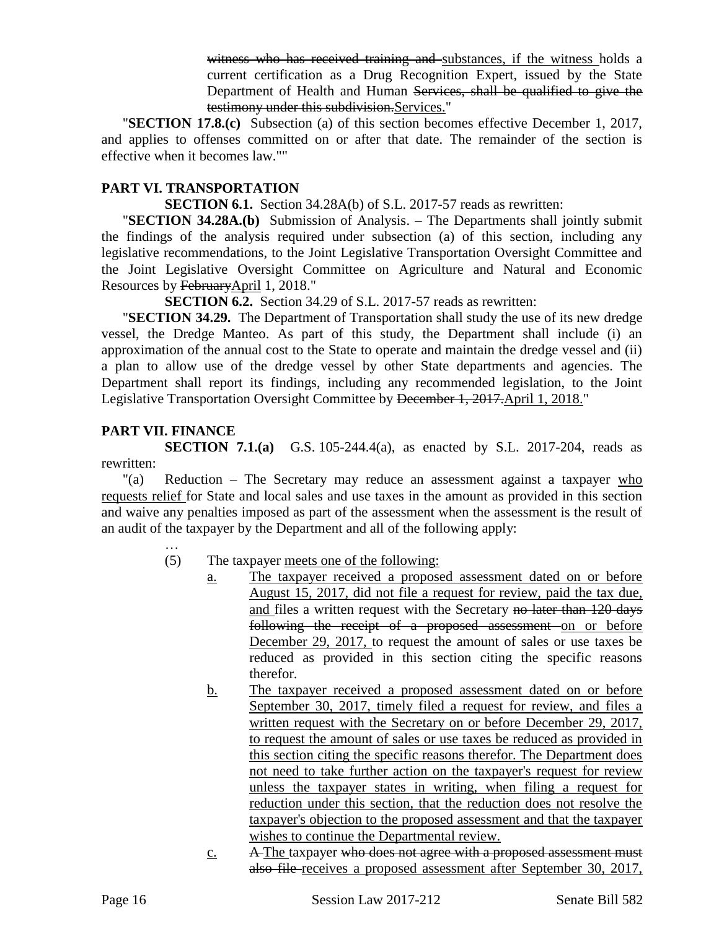witness who has received training and substances, if the witness holds a current certification as a Drug Recognition Expert, issued by the State Department of Health and Human Services, shall be qualified to give the testimony under this subdivision.Services."

"**SECTION 17.8.(c)** Subsection (a) of this section becomes effective December 1, 2017, and applies to offenses committed on or after that date. The remainder of the section is effective when it becomes law.""

### **PART VI. TRANSPORTATION**

**SECTION 6.1.** Section 34.28A(b) of S.L. 2017-57 reads as rewritten:

"**SECTION 34.28A.(b)** Submission of Analysis. – The Departments shall jointly submit the findings of the analysis required under subsection (a) of this section, including any legislative recommendations, to the Joint Legislative Transportation Oversight Committee and the Joint Legislative Oversight Committee on Agriculture and Natural and Economic Resources by FebruaryApril 1, 2018."

**SECTION 6.2.** Section 34.29 of S.L. 2017-57 reads as rewritten:

"**SECTION 34.29.** The Department of Transportation shall study the use of its new dredge vessel, the Dredge Manteo. As part of this study, the Department shall include (i) an approximation of the annual cost to the State to operate and maintain the dredge vessel and (ii) a plan to allow use of the dredge vessel by other State departments and agencies. The Department shall report its findings, including any recommended legislation, to the Joint Legislative Transportation Oversight Committee by December 1, 2017.April 1, 2018."

#### **PART VII. FINANCE**

**SECTION 7.1.(a)** G.S. 105-244.4(a), as enacted by S.L. 2017-204, reads as rewritten:

"(a) Reduction – The Secretary may reduce an assessment against a taxpayer who requests relief for State and local sales and use taxes in the amount as provided in this section and waive any penalties imposed as part of the assessment when the assessment is the result of an audit of the taxpayer by the Department and all of the following apply:

- (5) The taxpayer meets one of the following:
	- a. The taxpayer received a proposed assessment dated on or before August 15, 2017, did not file a request for review, paid the tax due, and files a written request with the Secretary no later than 120 days following the receipt of a proposed assessment on or before December 29, 2017, to request the amount of sales or use taxes be reduced as provided in this section citing the specific reasons therefor.
	- b. The taxpayer received a proposed assessment dated on or before September 30, 2017, timely filed a request for review, and files a written request with the Secretary on or before December 29, 2017, to request the amount of sales or use taxes be reduced as provided in this section citing the specific reasons therefor. The Department does not need to take further action on the taxpayer's request for review unless the taxpayer states in writing, when filing a request for reduction under this section, that the reduction does not resolve the taxpayer's objection to the proposed assessment and that the taxpayer wishes to continue the Departmental review.
	- $c.$  A The taxpayer who does not agree with a proposed assessment must also file receives a proposed assessment after September 30, 2017,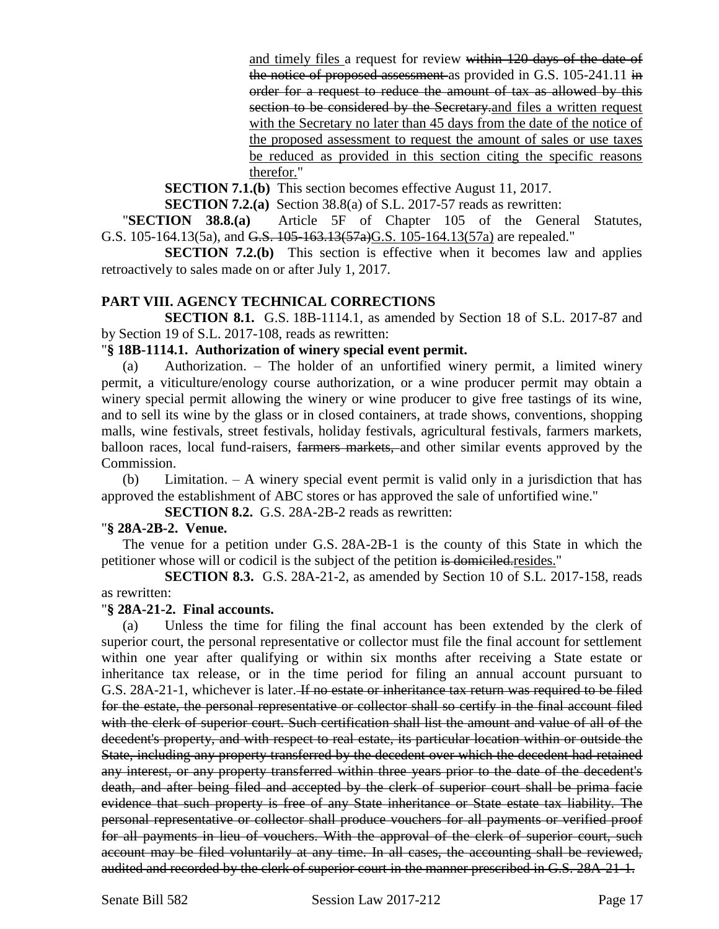and timely files a request for review within 120 days of the date of the notice of proposed assessment as provided in G.S. 105-241.11 in order for a request to reduce the amount of tax as allowed by this section to be considered by the Secretary and files a written request with the Secretary no later than 45 days from the date of the notice of the proposed assessment to request the amount of sales or use taxes be reduced as provided in this section citing the specific reasons therefor."

**SECTION 7.1.(b)** This section becomes effective August 11, 2017.

**SECTION 7.2.(a)** Section 38.8(a) of S.L. 2017-57 reads as rewritten:

"**SECTION 38.8.(a)** Article 5F of Chapter 105 of the General Statutes, G.S. 105-164.13(5a), and G.S. 105-163.13(57a)G.S. 105-164.13(57a) are repealed."

**SECTION 7.2.(b)** This section is effective when it becomes law and applies retroactively to sales made on or after July 1, 2017.

#### **PART VIII. AGENCY TECHNICAL CORRECTIONS**

**SECTION 8.1.** G.S. 18B-1114.1, as amended by Section 18 of S.L. 2017-87 and by Section 19 of S.L. 2017-108, reads as rewritten:

#### "**§ 18B-1114.1. Authorization of winery special event permit.**

(a) Authorization. – The holder of an unfortified winery permit, a limited winery permit, a viticulture/enology course authorization, or a wine producer permit may obtain a winery special permit allowing the winery or wine producer to give free tastings of its wine, and to sell its wine by the glass or in closed containers, at trade shows, conventions, shopping malls, wine festivals, street festivals, holiday festivals, agricultural festivals, farmers markets, balloon races, local fund-raisers, farmers markets, and other similar events approved by the Commission.

(b) Limitation. – A winery special event permit is valid only in a jurisdiction that has approved the establishment of ABC stores or has approved the sale of unfortified wine."

**SECTION 8.2.** G.S. 28A-2B-2 reads as rewritten:

#### "**§ 28A-2B-2. Venue.**

The venue for a petition under G.S. 28A-2B-1 is the county of this State in which the petitioner whose will or codicil is the subject of the petition is domiciled.resides."

**SECTION 8.3.** G.S. 28A-21-2, as amended by Section 10 of S.L. 2017-158, reads as rewritten:

#### "**§ 28A-21-2. Final accounts.**

(a) Unless the time for filing the final account has been extended by the clerk of superior court, the personal representative or collector must file the final account for settlement within one year after qualifying or within six months after receiving a State estate or inheritance tax release, or in the time period for filing an annual account pursuant to G.S. 28A-21-1, whichever is later. If no estate or inheritance tax return was required to be filed for the estate, the personal representative or collector shall so certify in the final account filed with the clerk of superior court. Such certification shall list the amount and value of all of the decedent's property, and with respect to real estate, its particular location within or outside the State, including any property transferred by the decedent over which the decedent had retained any interest, or any property transferred within three years prior to the date of the decedent's death, and after being filed and accepted by the clerk of superior court shall be prima facie evidence that such property is free of any State inheritance or State estate tax liability. The personal representative or collector shall produce vouchers for all payments or verified proof for all payments in lieu of vouchers. With the approval of the clerk of superior court, such account may be filed voluntarily at any time. In all cases, the accounting shall be reviewed, audited and recorded by the clerk of superior court in the manner prescribed in G.S. 28A-21-1.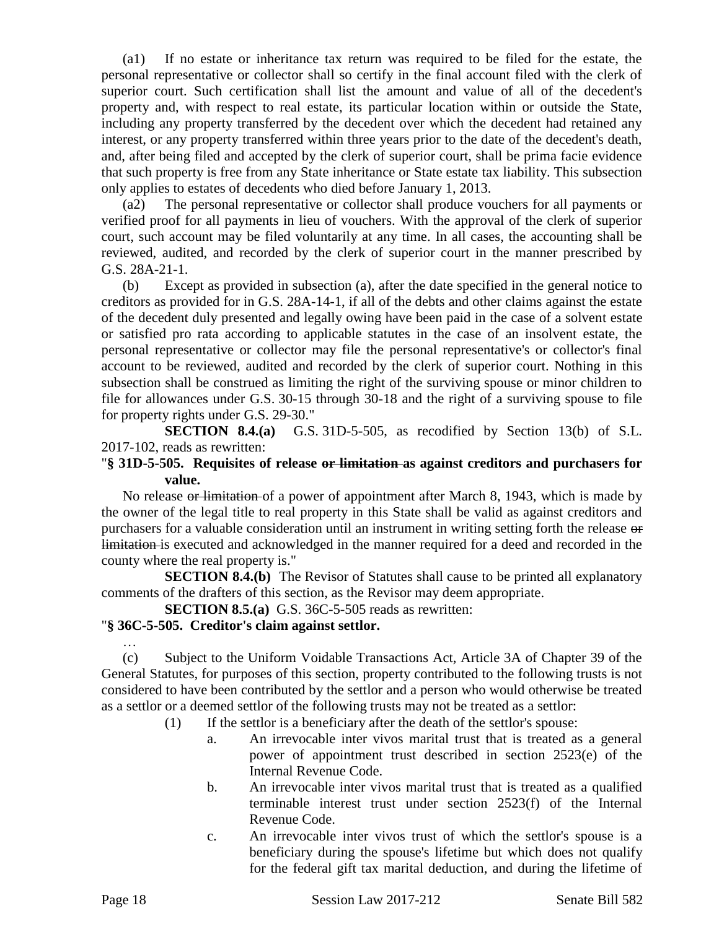(a1) If no estate or inheritance tax return was required to be filed for the estate, the personal representative or collector shall so certify in the final account filed with the clerk of superior court. Such certification shall list the amount and value of all of the decedent's property and, with respect to real estate, its particular location within or outside the State, including any property transferred by the decedent over which the decedent had retained any interest, or any property transferred within three years prior to the date of the decedent's death, and, after being filed and accepted by the clerk of superior court, shall be prima facie evidence that such property is free from any State inheritance or State estate tax liability. This subsection only applies to estates of decedents who died before January 1, 2013.

(a2) The personal representative or collector shall produce vouchers for all payments or verified proof for all payments in lieu of vouchers. With the approval of the clerk of superior court, such account may be filed voluntarily at any time. In all cases, the accounting shall be reviewed, audited, and recorded by the clerk of superior court in the manner prescribed by G.S. 28A-21-1.

(b) Except as provided in subsection (a), after the date specified in the general notice to creditors as provided for in G.S. 28A-14-1, if all of the debts and other claims against the estate of the decedent duly presented and legally owing have been paid in the case of a solvent estate or satisfied pro rata according to applicable statutes in the case of an insolvent estate, the personal representative or collector may file the personal representative's or collector's final account to be reviewed, audited and recorded by the clerk of superior court. Nothing in this subsection shall be construed as limiting the right of the surviving spouse or minor children to file for allowances under G.S. 30-15 through 30-18 and the right of a surviving spouse to file for property rights under G.S. 29-30."

**SECTION 8.4.(a)** G.S. 31D-5-505, as recodified by Section 13(b) of S.L. 2017-102, reads as rewritten:

#### "**§ 31D-5-505. Requisites of release or limitation as against creditors and purchasers for value.**

No release or limitation of a power of appointment after March 8, 1943, which is made by the owner of the legal title to real property in this State shall be valid as against creditors and purchasers for a valuable consideration until an instrument in writing setting forth the release or limitation is executed and acknowledged in the manner required for a deed and recorded in the county where the real property is."

**SECTION 8.4.(b)** The Revisor of Statutes shall cause to be printed all explanatory comments of the drafters of this section, as the Revisor may deem appropriate.

**SECTION 8.5.(a)** G.S. 36C-5-505 reads as rewritten:

#### "**§ 36C-5-505. Creditor's claim against settlor.**

… (c) Subject to the Uniform Voidable Transactions Act, Article 3A of Chapter 39 of the General Statutes, for purposes of this section, property contributed to the following trusts is not considered to have been contributed by the settlor and a person who would otherwise be treated as a settlor or a deemed settlor of the following trusts may not be treated as a settlor:

- (1) If the settlor is a beneficiary after the death of the settlor's spouse:
	- a. An irrevocable inter vivos marital trust that is treated as a general power of appointment trust described in section 2523(e) of the Internal Revenue Code.
	- b. An irrevocable inter vivos marital trust that is treated as a qualified terminable interest trust under section 2523(f) of the Internal Revenue Code.
	- c. An irrevocable inter vivos trust of which the settlor's spouse is a beneficiary during the spouse's lifetime but which does not qualify for the federal gift tax marital deduction, and during the lifetime of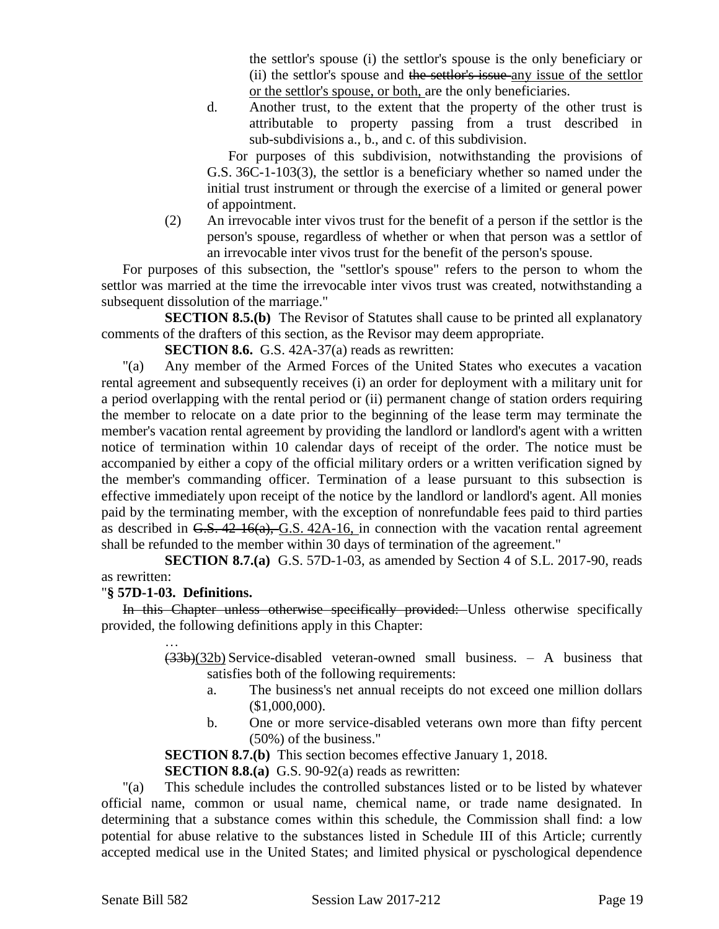the settlor's spouse (i) the settlor's spouse is the only beneficiary or (ii) the settlor's spouse and the settlor's issue-any issue of the settlor or the settlor's spouse, or both, are the only beneficiaries.

d. Another trust, to the extent that the property of the other trust is attributable to property passing from a trust described in sub-subdivisions a., b., and c. of this subdivision.

For purposes of this subdivision, notwithstanding the provisions of G.S. 36C-1-103(3), the settlor is a beneficiary whether so named under the initial trust instrument or through the exercise of a limited or general power of appointment.

(2) An irrevocable inter vivos trust for the benefit of a person if the settlor is the person's spouse, regardless of whether or when that person was a settlor of an irrevocable inter vivos trust for the benefit of the person's spouse.

For purposes of this subsection, the "settlor's spouse" refers to the person to whom the settlor was married at the time the irrevocable inter vivos trust was created, notwithstanding a subsequent dissolution of the marriage."

**SECTION 8.5.(b)** The Revisor of Statutes shall cause to be printed all explanatory comments of the drafters of this section, as the Revisor may deem appropriate.

**SECTION 8.6.** G.S. 42A-37(a) reads as rewritten:

"(a) Any member of the Armed Forces of the United States who executes a vacation rental agreement and subsequently receives (i) an order for deployment with a military unit for a period overlapping with the rental period or (ii) permanent change of station orders requiring the member to relocate on a date prior to the beginning of the lease term may terminate the member's vacation rental agreement by providing the landlord or landlord's agent with a written notice of termination within 10 calendar days of receipt of the order. The notice must be accompanied by either a copy of the official military orders or a written verification signed by the member's commanding officer. Termination of a lease pursuant to this subsection is effective immediately upon receipt of the notice by the landlord or landlord's agent. All monies paid by the terminating member, with the exception of nonrefundable fees paid to third parties as described in  $G.S. 42-16(a), G.S. 42A-16$ , in connection with the vacation rental agreement shall be refunded to the member within 30 days of termination of the agreement."

**SECTION 8.7.(a)** G.S. 57D-1-03, as amended by Section 4 of S.L. 2017-90, reads as rewritten:

#### "**§ 57D-1-03. Definitions.**

In this Chapter unless otherwise specifically provided: Unless otherwise specifically provided, the following definitions apply in this Chapter:

> …  $(33b)(32b)$  Service-disabled veteran-owned small business. – A business that satisfies both of the following requirements:

- a. The business's net annual receipts do not exceed one million dollars (\$1,000,000).
- b. One or more service-disabled veterans own more than fifty percent (50%) of the business."

**SECTION 8.7.(b)** This section becomes effective January 1, 2018.

**SECTION 8.8.(a)** G.S. 90-92(a) reads as rewritten:

"(a) This schedule includes the controlled substances listed or to be listed by whatever official name, common or usual name, chemical name, or trade name designated. In determining that a substance comes within this schedule, the Commission shall find: a low potential for abuse relative to the substances listed in Schedule III of this Article; currently accepted medical use in the United States; and limited physical or pyschological dependence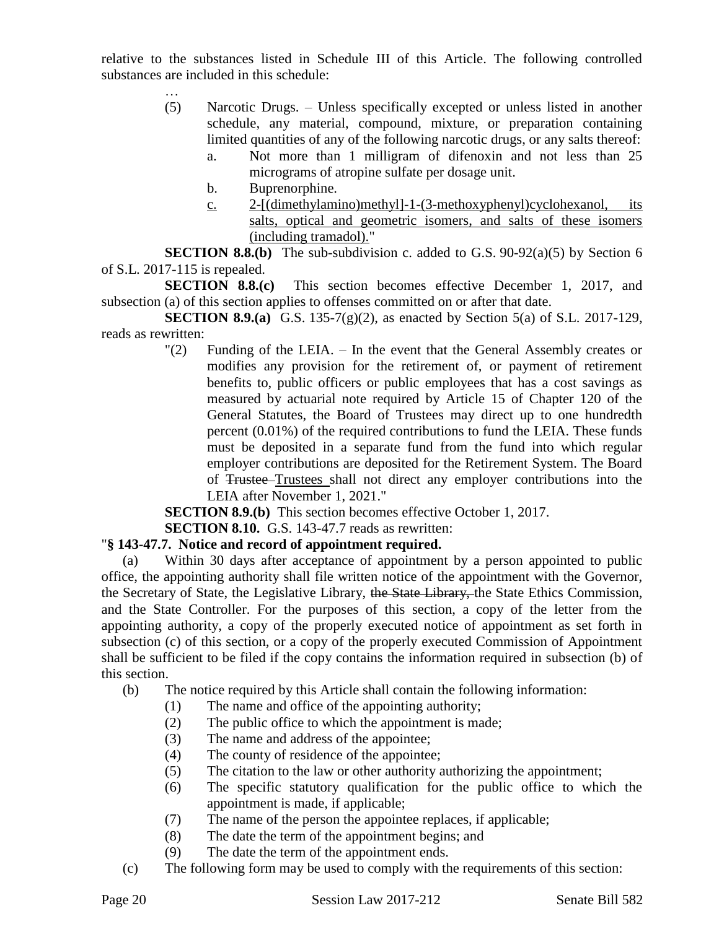relative to the substances listed in Schedule III of this Article. The following controlled substances are included in this schedule:

- (5) Narcotic Drugs. Unless specifically excepted or unless listed in another schedule, any material, compound, mixture, or preparation containing limited quantities of any of the following narcotic drugs, or any salts thereof:
	- a. Not more than 1 milligram of difenoxin and not less than 25 micrograms of atropine sulfate per dosage unit.
	- b. Buprenorphine.

…

c. 2-[(dimethylamino)methyl]-1-(3-methoxyphenyl)cyclohexanol, its salts, optical and geometric isomers, and salts of these isomers (including tramadol)."

**SECTION 8.8.(b)** The sub-subdivision c. added to G.S.  $90-92(a)(5)$  by Section 6 of S.L. 2017-115 is repealed.

**SECTION 8.8.(c)** This section becomes effective December 1, 2017, and subsection (a) of this section applies to offenses committed on or after that date.

**SECTION 8.9.(a)** G.S. 135-7(g)(2), as enacted by Section 5(a) of S.L. 2017-129, reads as rewritten:

> "(2) Funding of the LEIA. – In the event that the General Assembly creates or modifies any provision for the retirement of, or payment of retirement benefits to, public officers or public employees that has a cost savings as measured by actuarial note required by Article 15 of Chapter 120 of the General Statutes, the Board of Trustees may direct up to one hundredth percent (0.01%) of the required contributions to fund the LEIA. These funds must be deposited in a separate fund from the fund into which regular employer contributions are deposited for the Retirement System. The Board of Trustee Trustees shall not direct any employer contributions into the LEIA after November 1, 2021."

**SECTION 8.9.(b)** This section becomes effective October 1, 2017.

**SECTION 8.10.** G.S. 143-47.7 reads as rewritten:

## "**§ 143-47.7. Notice and record of appointment required.**

(a) Within 30 days after acceptance of appointment by a person appointed to public office, the appointing authority shall file written notice of the appointment with the Governor, the Secretary of State, the Legislative Library, the State Library, the State Ethics Commission, and the State Controller. For the purposes of this section, a copy of the letter from the appointing authority, a copy of the properly executed notice of appointment as set forth in subsection (c) of this section, or a copy of the properly executed Commission of Appointment shall be sufficient to be filed if the copy contains the information required in subsection (b) of this section.

- (b) The notice required by this Article shall contain the following information:
	- (1) The name and office of the appointing authority;
	- (2) The public office to which the appointment is made;
	- (3) The name and address of the appointee;
	- (4) The county of residence of the appointee;
	- (5) The citation to the law or other authority authorizing the appointment;
	- (6) The specific statutory qualification for the public office to which the appointment is made, if applicable;
	- (7) The name of the person the appointee replaces, if applicable;
	- (8) The date the term of the appointment begins; and
	- (9) The date the term of the appointment ends.
- (c) The following form may be used to comply with the requirements of this section: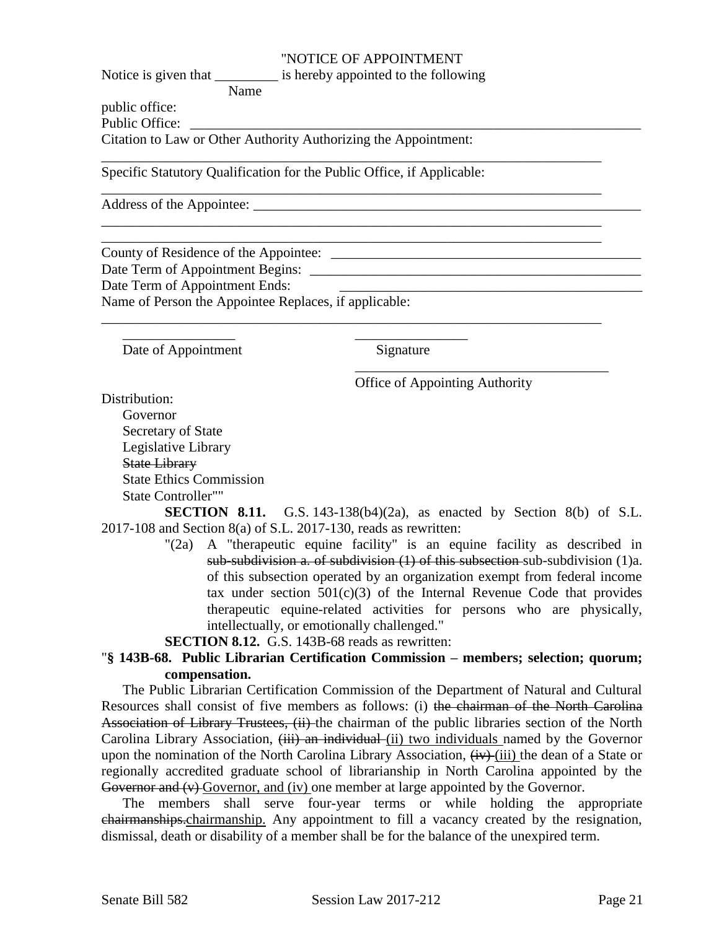#### "NOTICE OF APPOINTMENT

Notice is given that is hereby appointed to the following

\_\_\_\_\_\_\_\_\_\_\_\_\_\_\_\_\_\_\_\_\_\_\_\_\_\_\_\_\_\_\_\_\_\_\_\_\_\_\_\_\_\_\_\_\_\_\_\_\_\_\_\_\_\_\_\_\_\_\_\_\_\_\_\_\_\_\_\_\_\_\_

\_\_\_\_\_\_\_\_\_\_\_\_\_\_\_\_\_\_\_\_\_\_\_\_\_\_\_\_\_\_\_\_\_\_\_\_\_\_\_\_\_\_\_\_\_\_\_\_\_\_\_\_\_\_\_\_\_\_\_\_\_\_\_\_\_\_\_\_\_\_\_

\_\_\_\_\_\_\_\_\_\_\_\_\_\_\_\_\_\_\_\_\_\_\_\_\_\_\_\_\_\_\_\_\_\_\_\_\_\_\_\_\_\_\_\_\_\_\_\_\_\_\_\_\_\_\_\_\_\_\_\_\_\_\_\_\_\_\_\_\_\_\_ \_\_\_\_\_\_\_\_\_\_\_\_\_\_\_\_\_\_\_\_\_\_\_\_\_\_\_\_\_\_\_\_\_\_\_\_\_\_\_\_\_\_\_\_\_\_\_\_\_\_\_\_\_\_\_\_\_\_\_\_\_\_\_\_\_\_\_\_\_\_\_

\_\_\_\_\_\_\_\_\_\_\_\_\_\_\_\_\_\_\_\_\_\_\_\_\_\_\_\_\_\_\_\_\_\_\_\_\_\_\_\_\_\_\_\_\_\_\_\_\_\_\_\_\_\_\_\_\_\_\_\_\_\_\_\_\_\_\_\_\_\_\_

Name public office:

Public Office:

Citation to Law or Other Authority Authorizing the Appointment:

Specific Statutory Qualification for the Public Office, if Applicable:

\_\_\_\_\_\_\_\_\_\_\_\_\_\_\_\_ \_\_\_\_\_\_\_\_\_\_\_\_\_\_\_\_

Address of the Appointee: \_\_\_\_\_\_\_\_\_\_\_\_\_\_\_\_\_\_\_\_\_\_\_\_\_\_\_\_\_\_\_\_\_\_\_\_\_\_\_\_\_\_\_\_\_\_\_\_\_\_\_\_\_\_\_

County of Residence of the Appointee: \_\_\_\_\_\_\_\_\_\_\_\_\_\_\_\_\_\_\_\_\_\_\_\_\_\_\_\_\_\_\_\_\_\_\_\_\_\_\_\_\_\_\_\_ Date Term of Appointment Begins: \_\_\_\_\_\_\_\_\_\_\_\_\_\_\_\_\_\_\_\_\_\_\_\_\_\_\_\_\_\_\_\_\_\_\_\_\_\_\_\_\_\_\_\_\_\_\_ Date Term of Appointment Ends:  $\Box$ Name of Person the Appointee Replaces, if applicable:

Date of Appointment Signature

Office of Appointing Authority

\_\_\_\_\_\_\_\_\_\_\_\_\_\_\_\_\_\_\_\_\_\_\_\_\_\_\_\_\_\_\_\_\_\_\_\_

Distribution:

Governor Secretary of State Legislative Library State Library State Ethics Commission State Controller""

**SECTION 8.11.** G.S. 143-138(b4)(2a), as enacted by Section 8(b) of S.L. 2017-108 and Section 8(a) of S.L. 2017-130, reads as rewritten:

> "(2a) A "therapeutic equine facility" is an equine facility as described in sub-subdivision a. of subdivision (1) of this subsection sub-subdivision (1)a. of this subsection operated by an organization exempt from federal income tax under section  $501(c)(3)$  of the Internal Revenue Code that provides therapeutic equine-related activities for persons who are physically, intellectually, or emotionally challenged."

**SECTION 8.12.** G.S. 143B-68 reads as rewritten:

## "**§ 143B-68. Public Librarian Certification Commission – members; selection; quorum; compensation.**

The Public Librarian Certification Commission of the Department of Natural and Cultural Resources shall consist of five members as follows: (i) the chairman of the North Carolina Association of Library Trustees, (ii) the chairman of the public libraries section of the North Carolina Library Association,  $(iii)$  an individual (ii) two individuals named by the Governor upon the nomination of the North Carolina Library Association,  $\overline{(iv)}$  (iii) the dean of a State or regionally accredited graduate school of librarianship in North Carolina appointed by the Governor and (v) Governor, and (iv) one member at large appointed by the Governor.

The members shall serve four-year terms or while holding the appropriate chairmanships.chairmanship. Any appointment to fill a vacancy created by the resignation, dismissal, death or disability of a member shall be for the balance of the unexpired term.